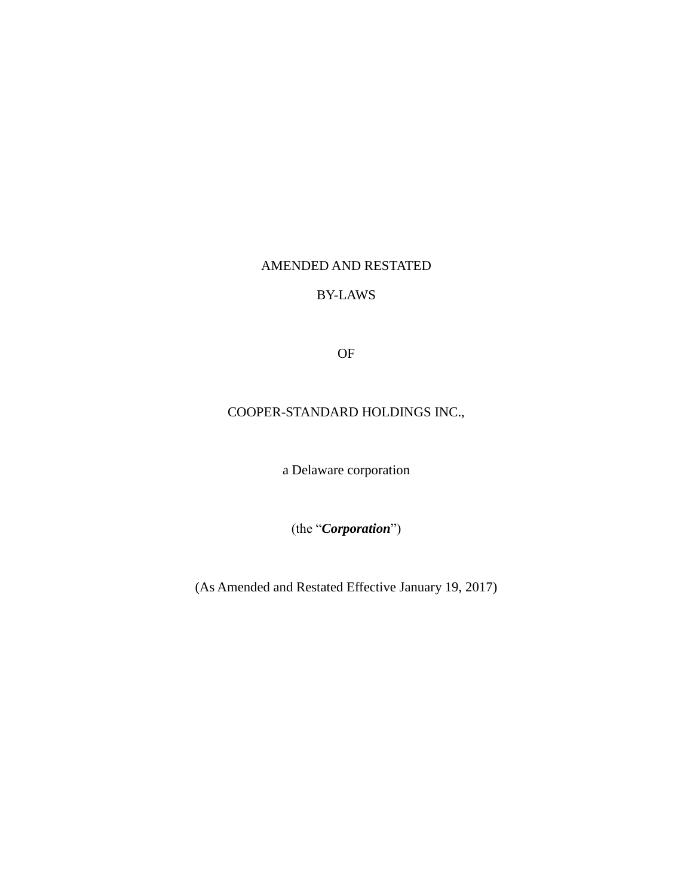# AMENDED AND RESTATED

## BY-LAWS

OF

# COOPER-STANDARD HOLDINGS INC.,

a Delaware corporation

(the "*Corporation*")

(As Amended and Restated Effective January 19, 2017)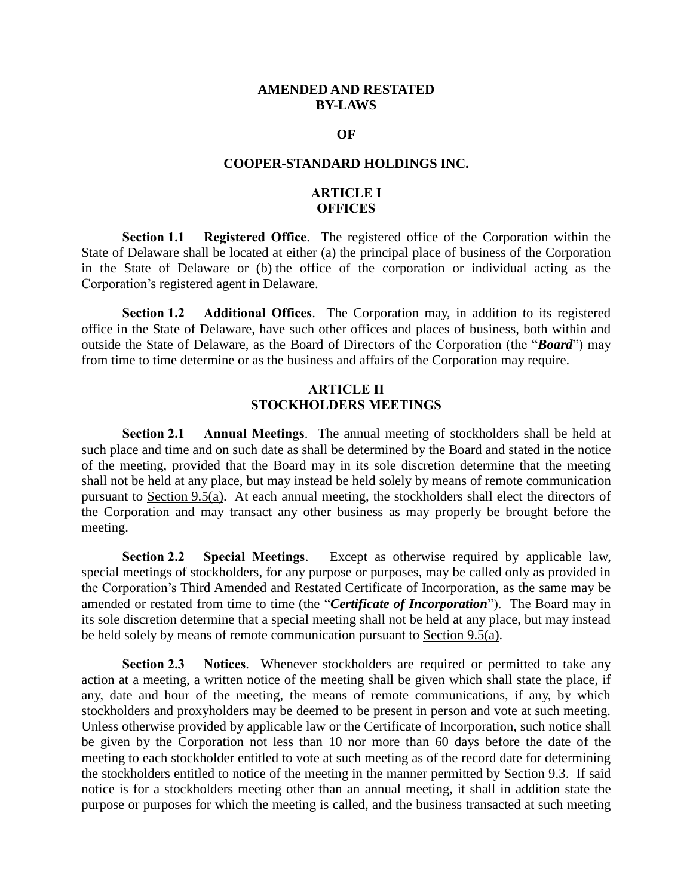#### **AMENDED AND RESTATED BY-LAWS**

#### **OF**

#### **COOPER-STANDARD HOLDINGS INC.**

## **ARTICLE I OFFICES**

**Section 1.1 Registered Office**. The registered office of the Corporation within the State of Delaware shall be located at either (a) the principal place of business of the Corporation in the State of Delaware or (b) the office of the corporation or individual acting as the Corporation's registered agent in Delaware.

**Section 1.2 Additional Offices**. The Corporation may, in addition to its registered office in the State of Delaware, have such other offices and places of business, both within and outside the State of Delaware, as the Board of Directors of the Corporation (the "*Board*") may from time to time determine or as the business and affairs of the Corporation may require.

### **ARTICLE II STOCKHOLDERS MEETINGS**

**Section 2.1 Annual Meetings**. The annual meeting of stockholders shall be held at such place and time and on such date as shall be determined by the Board and stated in the notice of the meeting, provided that the Board may in its sole discretion determine that the meeting shall not be held at any place, but may instead be held solely by means of remote communication pursuant to Section 9.5(a). At each annual meeting, the stockholders shall elect the directors of the Corporation and may transact any other business as may properly be brought before the meeting.

**Section 2.2 Special Meetings**. Except as otherwise required by applicable law, special meetings of stockholders, for any purpose or purposes, may be called only as provided in the Corporation's Third Amended and Restated Certificate of Incorporation, as the same may be amended or restated from time to time (the "*Certificate of Incorporation*"). The Board may in its sole discretion determine that a special meeting shall not be held at any place, but may instead be held solely by means of remote communication pursuant to Section 9.5(a).

**Section 2.3 Notices**. Whenever stockholders are required or permitted to take any action at a meeting, a written notice of the meeting shall be given which shall state the place, if any, date and hour of the meeting, the means of remote communications, if any, by which stockholders and proxyholders may be deemed to be present in person and vote at such meeting. Unless otherwise provided by applicable law or the Certificate of Incorporation, such notice shall be given by the Corporation not less than 10 nor more than 60 days before the date of the meeting to each stockholder entitled to vote at such meeting as of the record date for determining the stockholders entitled to notice of the meeting in the manner permitted by Section 9.3. If said notice is for a stockholders meeting other than an annual meeting, it shall in addition state the purpose or purposes for which the meeting is called, and the business transacted at such meeting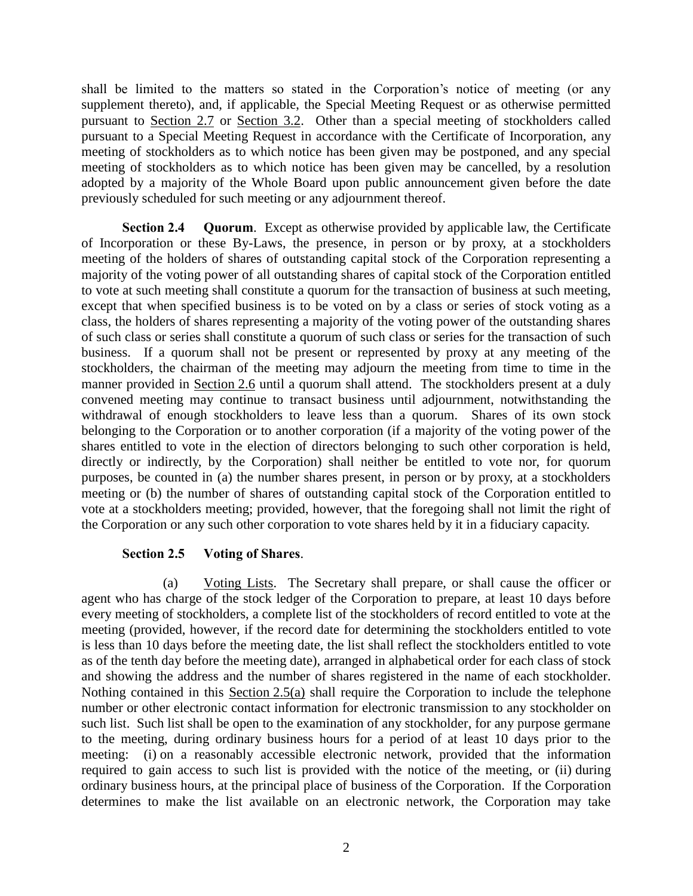shall be limited to the matters so stated in the Corporation's notice of meeting (or any supplement thereto), and, if applicable, the Special Meeting Request or as otherwise permitted pursuant to Section 2.7 or Section 3.2. Other than a special meeting of stockholders called pursuant to a Special Meeting Request in accordance with the Certificate of Incorporation, any meeting of stockholders as to which notice has been given may be postponed, and any special meeting of stockholders as to which notice has been given may be cancelled, by a resolution adopted by a majority of the Whole Board upon public announcement given before the date previously scheduled for such meeting or any adjournment thereof.

**Section 2.4 Quorum**. Except as otherwise provided by applicable law, the Certificate of Incorporation or these By-Laws, the presence, in person or by proxy, at a stockholders meeting of the holders of shares of outstanding capital stock of the Corporation representing a majority of the voting power of all outstanding shares of capital stock of the Corporation entitled to vote at such meeting shall constitute a quorum for the transaction of business at such meeting, except that when specified business is to be voted on by a class or series of stock voting as a class, the holders of shares representing a majority of the voting power of the outstanding shares of such class or series shall constitute a quorum of such class or series for the transaction of such business. If a quorum shall not be present or represented by proxy at any meeting of the stockholders, the chairman of the meeting may adjourn the meeting from time to time in the manner provided in Section 2.6 until a quorum shall attend. The stockholders present at a duly convened meeting may continue to transact business until adjournment, notwithstanding the withdrawal of enough stockholders to leave less than a quorum. Shares of its own stock belonging to the Corporation or to another corporation (if a majority of the voting power of the shares entitled to vote in the election of directors belonging to such other corporation is held, directly or indirectly, by the Corporation) shall neither be entitled to vote nor, for quorum purposes, be counted in (a) the number shares present, in person or by proxy, at a stockholders meeting or (b) the number of shares of outstanding capital stock of the Corporation entitled to vote at a stockholders meeting; provided, however, that the foregoing shall not limit the right of the Corporation or any such other corporation to vote shares held by it in a fiduciary capacity.

#### **Section 2.5 Voting of Shares**.

(a) Voting Lists. The Secretary shall prepare, or shall cause the officer or agent who has charge of the stock ledger of the Corporation to prepare, at least 10 days before every meeting of stockholders, a complete list of the stockholders of record entitled to vote at the meeting (provided, however, if the record date for determining the stockholders entitled to vote is less than 10 days before the meeting date, the list shall reflect the stockholders entitled to vote as of the tenth day before the meeting date), arranged in alphabetical order for each class of stock and showing the address and the number of shares registered in the name of each stockholder. Nothing contained in this Section 2.5(a) shall require the Corporation to include the telephone number or other electronic contact information for electronic transmission to any stockholder on such list. Such list shall be open to the examination of any stockholder, for any purpose germane to the meeting, during ordinary business hours for a period of at least 10 days prior to the meeting: (i) on a reasonably accessible electronic network, provided that the information required to gain access to such list is provided with the notice of the meeting, or (ii) during ordinary business hours, at the principal place of business of the Corporation. If the Corporation determines to make the list available on an electronic network, the Corporation may take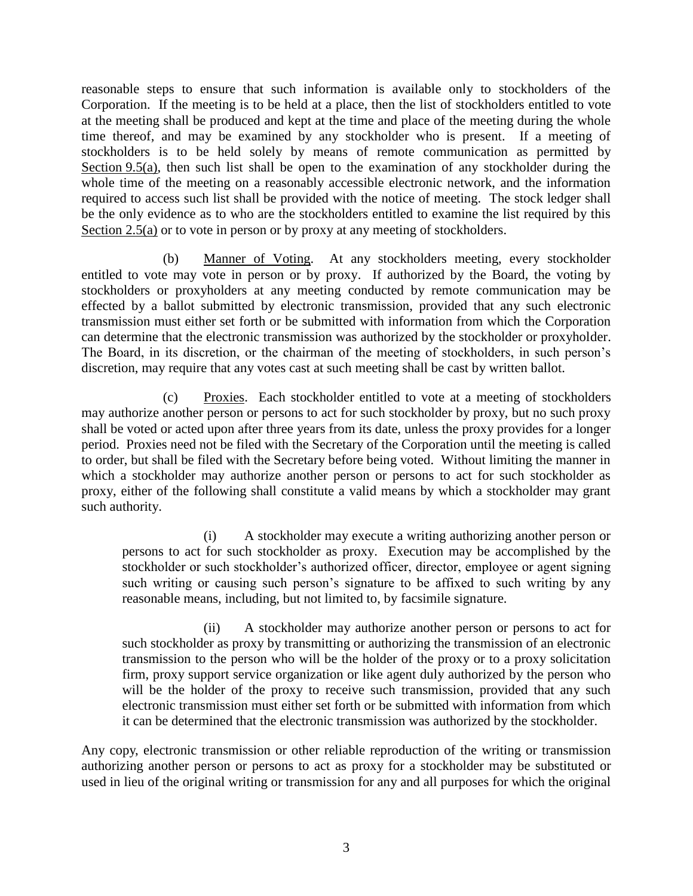reasonable steps to ensure that such information is available only to stockholders of the Corporation. If the meeting is to be held at a place, then the list of stockholders entitled to vote at the meeting shall be produced and kept at the time and place of the meeting during the whole time thereof, and may be examined by any stockholder who is present. If a meeting of stockholders is to be held solely by means of remote communication as permitted by Section 9.5(a), then such list shall be open to the examination of any stockholder during the whole time of the meeting on a reasonably accessible electronic network, and the information required to access such list shall be provided with the notice of meeting. The stock ledger shall be the only evidence as to who are the stockholders entitled to examine the list required by this Section 2.5(a) or to vote in person or by proxy at any meeting of stockholders.

(b) Manner of Voting. At any stockholders meeting, every stockholder entitled to vote may vote in person or by proxy. If authorized by the Board, the voting by stockholders or proxyholders at any meeting conducted by remote communication may be effected by a ballot submitted by electronic transmission, provided that any such electronic transmission must either set forth or be submitted with information from which the Corporation can determine that the electronic transmission was authorized by the stockholder or proxyholder. The Board, in its discretion, or the chairman of the meeting of stockholders, in such person's discretion, may require that any votes cast at such meeting shall be cast by written ballot.

(c) Proxies. Each stockholder entitled to vote at a meeting of stockholders may authorize another person or persons to act for such stockholder by proxy, but no such proxy shall be voted or acted upon after three years from its date, unless the proxy provides for a longer period. Proxies need not be filed with the Secretary of the Corporation until the meeting is called to order, but shall be filed with the Secretary before being voted. Without limiting the manner in which a stockholder may authorize another person or persons to act for such stockholder as proxy, either of the following shall constitute a valid means by which a stockholder may grant such authority.

(i) A stockholder may execute a writing authorizing another person or persons to act for such stockholder as proxy. Execution may be accomplished by the stockholder or such stockholder's authorized officer, director, employee or agent signing such writing or causing such person's signature to be affixed to such writing by any reasonable means, including, but not limited to, by facsimile signature.

(ii) A stockholder may authorize another person or persons to act for such stockholder as proxy by transmitting or authorizing the transmission of an electronic transmission to the person who will be the holder of the proxy or to a proxy solicitation firm, proxy support service organization or like agent duly authorized by the person who will be the holder of the proxy to receive such transmission, provided that any such electronic transmission must either set forth or be submitted with information from which it can be determined that the electronic transmission was authorized by the stockholder.

Any copy, electronic transmission or other reliable reproduction of the writing or transmission authorizing another person or persons to act as proxy for a stockholder may be substituted or used in lieu of the original writing or transmission for any and all purposes for which the original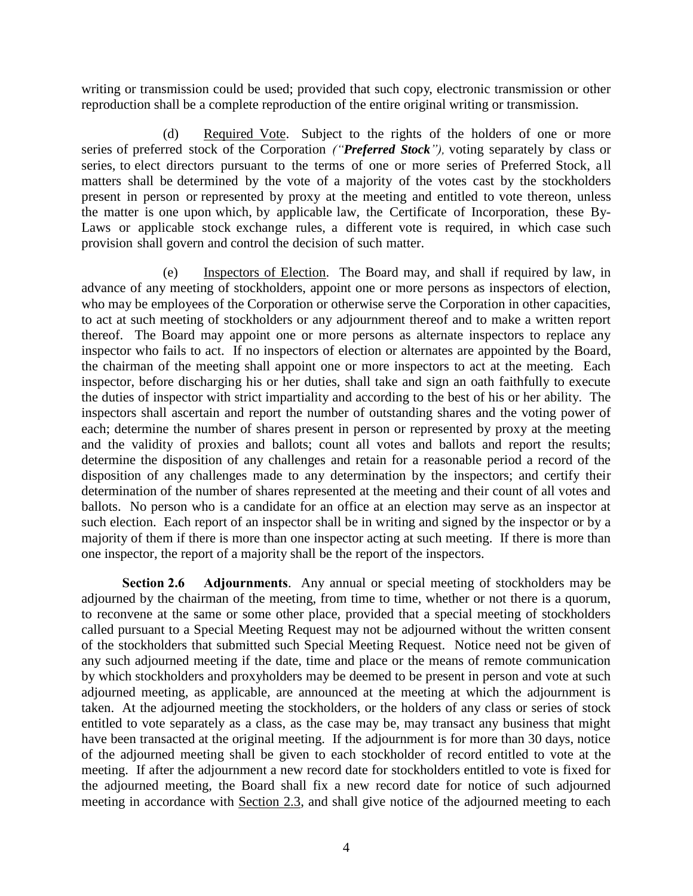writing or transmission could be used; provided that such copy, electronic transmission or other reproduction shall be a complete reproduction of the entire original writing or transmission.

(d) Required Vote. Subject to the rights of the holders of one or more series of preferred stock of the Corporation *("Preferred Stock"),* voting separately by class or series, to elect directors pursuant to the terms of one or more series of Preferred Stock, a ll matters shall be determined by the vote of a majority of the votes cast by the stockholders present in person or represented by proxy at the meeting and entitled to vote thereon, unless the matter is one upon which, by applicable law, the Certificate of Incorporation, these By-Laws or applicable stock exchange rules, a different vote is required, in which case such provision shall govern and control the decision of such matter.

(e) Inspectors of Election. The Board may, and shall if required by law, in advance of any meeting of stockholders, appoint one or more persons as inspectors of election, who may be employees of the Corporation or otherwise serve the Corporation in other capacities, to act at such meeting of stockholders or any adjournment thereof and to make a written report thereof. The Board may appoint one or more persons as alternate inspectors to replace any inspector who fails to act. If no inspectors of election or alternates are appointed by the Board, the chairman of the meeting shall appoint one or more inspectors to act at the meeting. Each inspector, before discharging his or her duties, shall take and sign an oath faithfully to execute the duties of inspector with strict impartiality and according to the best of his or her ability. The inspectors shall ascertain and report the number of outstanding shares and the voting power of each; determine the number of shares present in person or represented by proxy at the meeting and the validity of proxies and ballots; count all votes and ballots and report the results; determine the disposition of any challenges and retain for a reasonable period a record of the disposition of any challenges made to any determination by the inspectors; and certify their determination of the number of shares represented at the meeting and their count of all votes and ballots. No person who is a candidate for an office at an election may serve as an inspector at such election. Each report of an inspector shall be in writing and signed by the inspector or by a majority of them if there is more than one inspector acting at such meeting. If there is more than one inspector, the report of a majority shall be the report of the inspectors.

**Section 2.6 Adjournments**. Any annual or special meeting of stockholders may be adjourned by the chairman of the meeting, from time to time, whether or not there is a quorum, to reconvene at the same or some other place, provided that a special meeting of stockholders called pursuant to a Special Meeting Request may not be adjourned without the written consent of the stockholders that submitted such Special Meeting Request. Notice need not be given of any such adjourned meeting if the date, time and place or the means of remote communication by which stockholders and proxyholders may be deemed to be present in person and vote at such adjourned meeting, as applicable, are announced at the meeting at which the adjournment is taken. At the adjourned meeting the stockholders, or the holders of any class or series of stock entitled to vote separately as a class, as the case may be, may transact any business that might have been transacted at the original meeting. If the adjournment is for more than 30 days, notice of the adjourned meeting shall be given to each stockholder of record entitled to vote at the meeting. If after the adjournment a new record date for stockholders entitled to vote is fixed for the adjourned meeting, the Board shall fix a new record date for notice of such adjourned meeting in accordance with Section 2.3, and shall give notice of the adjourned meeting to each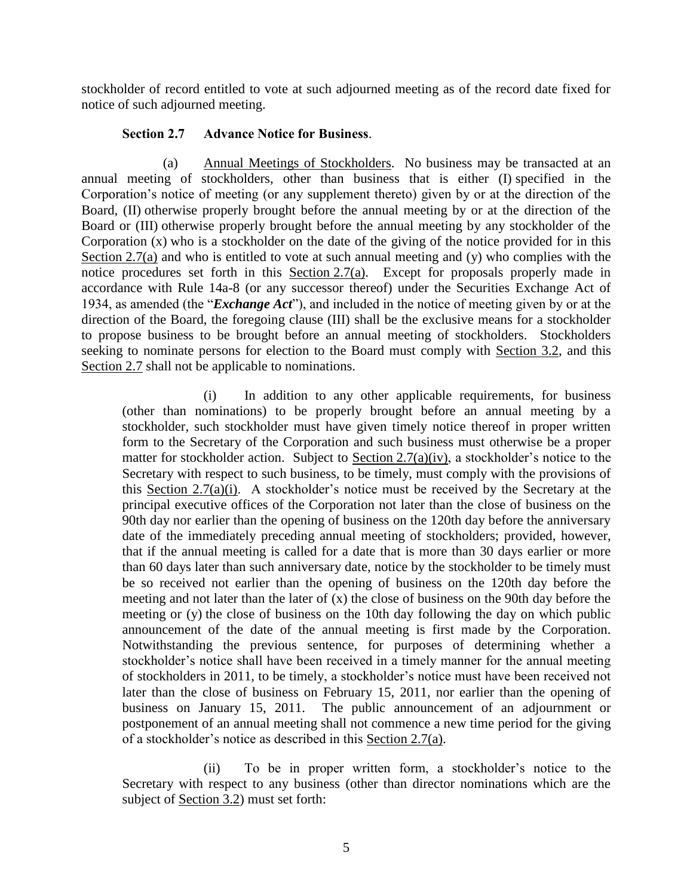stockholder of record entitled to vote at such adjourned meeting as of the record date fixed for notice of such adjourned meeting.

### **Section 2.7 Advance Notice for Business**.

(a) Annual Meetings of Stockholders. No business may be transacted at an annual meeting of stockholders, other than business that is either (I) specified in the Corporation's notice of meeting (or any supplement thereto) given by or at the direction of the Board, (II) otherwise properly brought before the annual meeting by or at the direction of the Board or (III) otherwise properly brought before the annual meeting by any stockholder of the Corporation (x) who is a stockholder on the date of the giving of the notice provided for in this Section 2.7(a) and who is entitled to vote at such annual meeting and  $(y)$  who complies with the notice procedures set forth in this Section 2.7(a). Except for proposals properly made in accordance with Rule 14a-8 (or any successor thereof) under the Securities Exchange Act of 1934, as amended (the "*Exchange Act*"), and included in the notice of meeting given by or at the direction of the Board, the foregoing clause (III) shall be the exclusive means for a stockholder to propose business to be brought before an annual meeting of stockholders. Stockholders seeking to nominate persons for election to the Board must comply with Section 3.2, and this Section 2.7 shall not be applicable to nominations.

(i) In addition to any other applicable requirements, for business (other than nominations) to be properly brought before an annual meeting by a stockholder, such stockholder must have given timely notice thereof in proper written form to the Secretary of the Corporation and such business must otherwise be a proper matter for stockholder action. Subject to Section  $2.7(a)(iv)$ , a stockholder's notice to the Secretary with respect to such business, to be timely, must comply with the provisions of this Section 2.7(a)(i). A stockholder's notice must be received by the Secretary at the principal executive offices of the Corporation not later than the close of business on the 90th day nor earlier than the opening of business on the 120th day before the anniversary date of the immediately preceding annual meeting of stockholders; provided, however, that if the annual meeting is called for a date that is more than 30 days earlier or more than 60 days later than such anniversary date, notice by the stockholder to be timely must be so received not earlier than the opening of business on the 120th day before the meeting and not later than the later of  $(x)$  the close of business on the 90th day before the meeting or (y) the close of business on the 10th day following the day on which public announcement of the date of the annual meeting is first made by the Corporation. Notwithstanding the previous sentence, for purposes of determining whether a stockholder's notice shall have been received in a timely manner for the annual meeting of stockholders in 2011, to be timely, a stockholder's notice must have been received not later than the close of business on February 15, 2011, nor earlier than the opening of business on January 15, 2011. The public announcement of an adjournment or postponement of an annual meeting shall not commence a new time period for the giving of a stockholder's notice as described in this Section 2.7(a).

(ii) To be in proper written form, a stockholder's notice to the Secretary with respect to any business (other than director nominations which are the subject of Section 3.2) must set forth: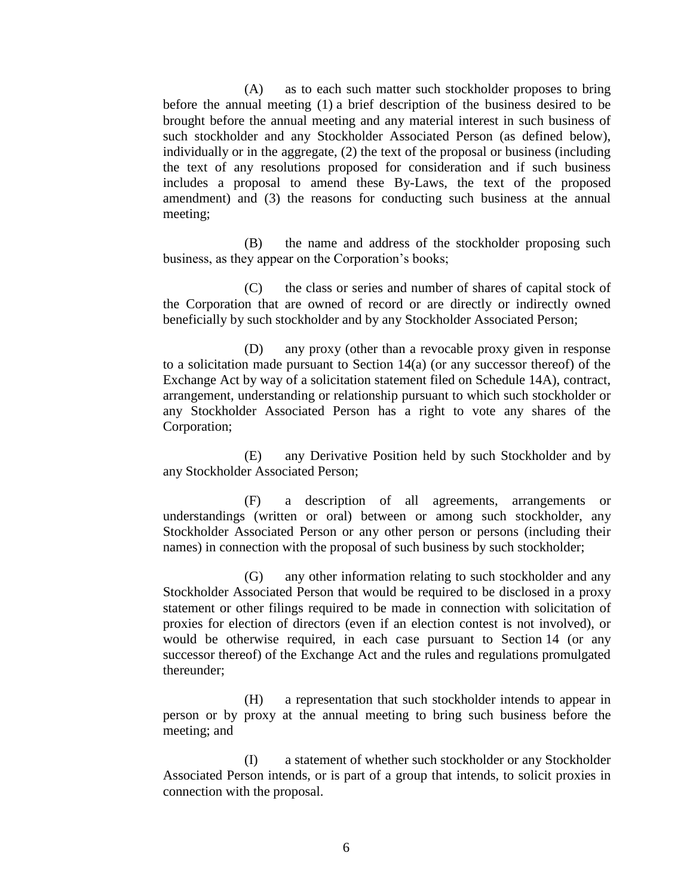(A) as to each such matter such stockholder proposes to bring before the annual meeting (1) a brief description of the business desired to be brought before the annual meeting and any material interest in such business of such stockholder and any Stockholder Associated Person (as defined below), individually or in the aggregate, (2) the text of the proposal or business (including the text of any resolutions proposed for consideration and if such business includes a proposal to amend these By-Laws, the text of the proposed amendment) and (3) the reasons for conducting such business at the annual meeting;

(B) the name and address of the stockholder proposing such business, as they appear on the Corporation's books;

(C) the class or series and number of shares of capital stock of the Corporation that are owned of record or are directly or indirectly owned beneficially by such stockholder and by any Stockholder Associated Person;

(D) any proxy (other than a revocable proxy given in response to a solicitation made pursuant to Section 14(a) (or any successor thereof) of the Exchange Act by way of a solicitation statement filed on Schedule 14A), contract, arrangement, understanding or relationship pursuant to which such stockholder or any Stockholder Associated Person has a right to vote any shares of the Corporation;

(E) any Derivative Position held by such Stockholder and by any Stockholder Associated Person;

(F) a description of all agreements, arrangements or understandings (written or oral) between or among such stockholder, any Stockholder Associated Person or any other person or persons (including their names) in connection with the proposal of such business by such stockholder;

(G) any other information relating to such stockholder and any Stockholder Associated Person that would be required to be disclosed in a proxy statement or other filings required to be made in connection with solicitation of proxies for election of directors (even if an election contest is not involved), or would be otherwise required, in each case pursuant to Section 14 (or any successor thereof) of the Exchange Act and the rules and regulations promulgated thereunder;

(H) a representation that such stockholder intends to appear in person or by proxy at the annual meeting to bring such business before the meeting; and

(I) a statement of whether such stockholder or any Stockholder Associated Person intends, or is part of a group that intends, to solicit proxies in connection with the proposal.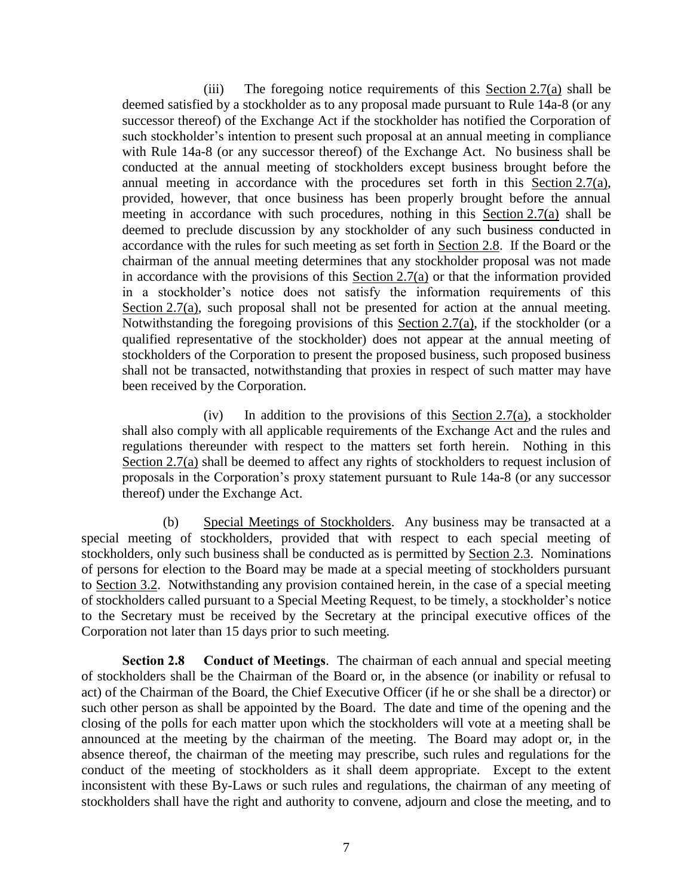(iii) The foregoing notice requirements of this  $Section 2.7(a)$  shall be deemed satisfied by a stockholder as to any proposal made pursuant to Rule 14a-8 (or any successor thereof) of the Exchange Act if the stockholder has notified the Corporation of such stockholder's intention to present such proposal at an annual meeting in compliance with Rule 14a-8 (or any successor thereof) of the Exchange Act. No business shall be conducted at the annual meeting of stockholders except business brought before the annual meeting in accordance with the procedures set forth in this Section 2.7(a), provided, however, that once business has been properly brought before the annual meeting in accordance with such procedures, nothing in this Section 2.7(a) shall be deemed to preclude discussion by any stockholder of any such business conducted in accordance with the rules for such meeting as set forth in Section 2.8. If the Board or the chairman of the annual meeting determines that any stockholder proposal was not made in accordance with the provisions of this Section 2.7(a) or that the information provided in a stockholder's notice does not satisfy the information requirements of this Section 2.7(a), such proposal shall not be presented for action at the annual meeting. Notwithstanding the foregoing provisions of this Section 2.7(a), if the stockholder (or a qualified representative of the stockholder) does not appear at the annual meeting of stockholders of the Corporation to present the proposed business, such proposed business shall not be transacted, notwithstanding that proxies in respect of such matter may have been received by the Corporation.

(iv) In addition to the provisions of this Section 2.7(a), a stockholder shall also comply with all applicable requirements of the Exchange Act and the rules and regulations thereunder with respect to the matters set forth herein. Nothing in this Section 2.7(a) shall be deemed to affect any rights of stockholders to request inclusion of proposals in the Corporation's proxy statement pursuant to Rule 14a-8 (or any successor thereof) under the Exchange Act.

(b) Special Meetings of Stockholders. Any business may be transacted at a special meeting of stockholders, provided that with respect to each special meeting of stockholders, only such business shall be conducted as is permitted by Section 2.3. Nominations of persons for election to the Board may be made at a special meeting of stockholders pursuant to Section 3.2. Notwithstanding any provision contained herein, in the case of a special meeting of stockholders called pursuant to a Special Meeting Request, to be timely, a stockholder's notice to the Secretary must be received by the Secretary at the principal executive offices of the Corporation not later than 15 days prior to such meeting.

**Section 2.8 Conduct of Meetings**. The chairman of each annual and special meeting of stockholders shall be the Chairman of the Board or, in the absence (or inability or refusal to act) of the Chairman of the Board, the Chief Executive Officer (if he or she shall be a director) or such other person as shall be appointed by the Board. The date and time of the opening and the closing of the polls for each matter upon which the stockholders will vote at a meeting shall be announced at the meeting by the chairman of the meeting. The Board may adopt or, in the absence thereof, the chairman of the meeting may prescribe, such rules and regulations for the conduct of the meeting of stockholders as it shall deem appropriate. Except to the extent inconsistent with these By-Laws or such rules and regulations, the chairman of any meeting of stockholders shall have the right and authority to convene, adjourn and close the meeting, and to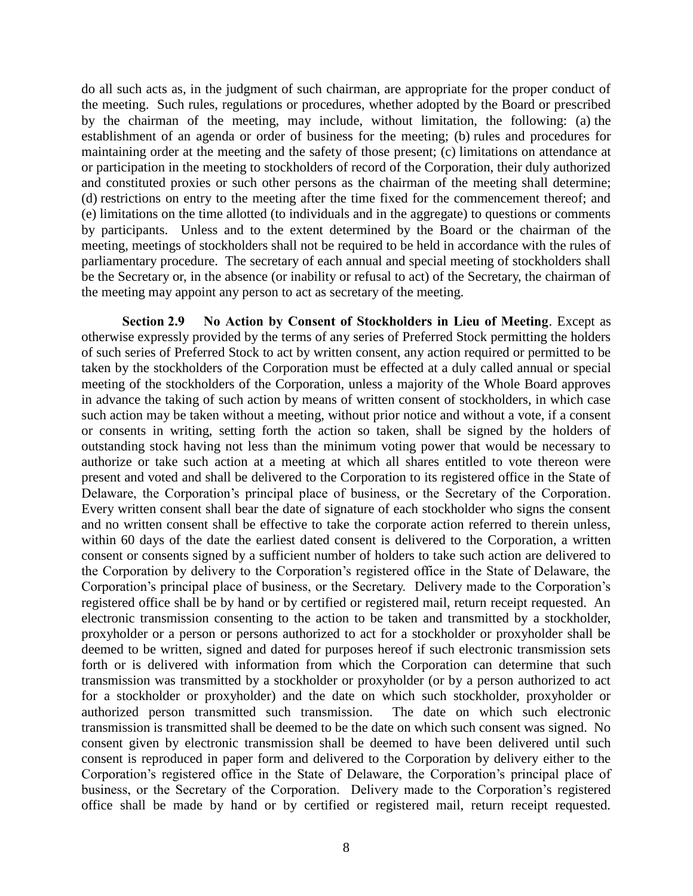do all such acts as, in the judgment of such chairman, are appropriate for the proper conduct of the meeting. Such rules, regulations or procedures, whether adopted by the Board or prescribed by the chairman of the meeting, may include, without limitation, the following: (a) the establishment of an agenda or order of business for the meeting; (b) rules and procedures for maintaining order at the meeting and the safety of those present; (c) limitations on attendance at or participation in the meeting to stockholders of record of the Corporation, their duly authorized and constituted proxies or such other persons as the chairman of the meeting shall determine; (d) restrictions on entry to the meeting after the time fixed for the commencement thereof; and (e) limitations on the time allotted (to individuals and in the aggregate) to questions or comments by participants. Unless and to the extent determined by the Board or the chairman of the meeting, meetings of stockholders shall not be required to be held in accordance with the rules of parliamentary procedure. The secretary of each annual and special meeting of stockholders shall be the Secretary or, in the absence (or inability or refusal to act) of the Secretary, the chairman of the meeting may appoint any person to act as secretary of the meeting.

**Section 2.9 No Action by Consent of Stockholders in Lieu of Meeting**. Except as otherwise expressly provided by the terms of any series of Preferred Stock permitting the holders of such series of Preferred Stock to act by written consent, any action required or permitted to be taken by the stockholders of the Corporation must be effected at a duly called annual or special meeting of the stockholders of the Corporation, unless a majority of the Whole Board approves in advance the taking of such action by means of written consent of stockholders, in which case such action may be taken without a meeting, without prior notice and without a vote, if a consent or consents in writing, setting forth the action so taken, shall be signed by the holders of outstanding stock having not less than the minimum voting power that would be necessary to authorize or take such action at a meeting at which all shares entitled to vote thereon were present and voted and shall be delivered to the Corporation to its registered office in the State of Delaware, the Corporation's principal place of business, or the Secretary of the Corporation. Every written consent shall bear the date of signature of each stockholder who signs the consent and no written consent shall be effective to take the corporate action referred to therein unless, within 60 days of the date the earliest dated consent is delivered to the Corporation, a written consent or consents signed by a sufficient number of holders to take such action are delivered to the Corporation by delivery to the Corporation's registered office in the State of Delaware, the Corporation's principal place of business, or the Secretary. Delivery made to the Corporation's registered office shall be by hand or by certified or registered mail, return receipt requested. An electronic transmission consenting to the action to be taken and transmitted by a stockholder, proxyholder or a person or persons authorized to act for a stockholder or proxyholder shall be deemed to be written, signed and dated for purposes hereof if such electronic transmission sets forth or is delivered with information from which the Corporation can determine that such transmission was transmitted by a stockholder or proxyholder (or by a person authorized to act for a stockholder or proxyholder) and the date on which such stockholder, proxyholder or authorized person transmitted such transmission. The date on which such electronic transmission is transmitted shall be deemed to be the date on which such consent was signed. No consent given by electronic transmission shall be deemed to have been delivered until such consent is reproduced in paper form and delivered to the Corporation by delivery either to the Corporation's registered office in the State of Delaware, the Corporation's principal place of business, or the Secretary of the Corporation. Delivery made to the Corporation's registered office shall be made by hand or by certified or registered mail, return receipt requested.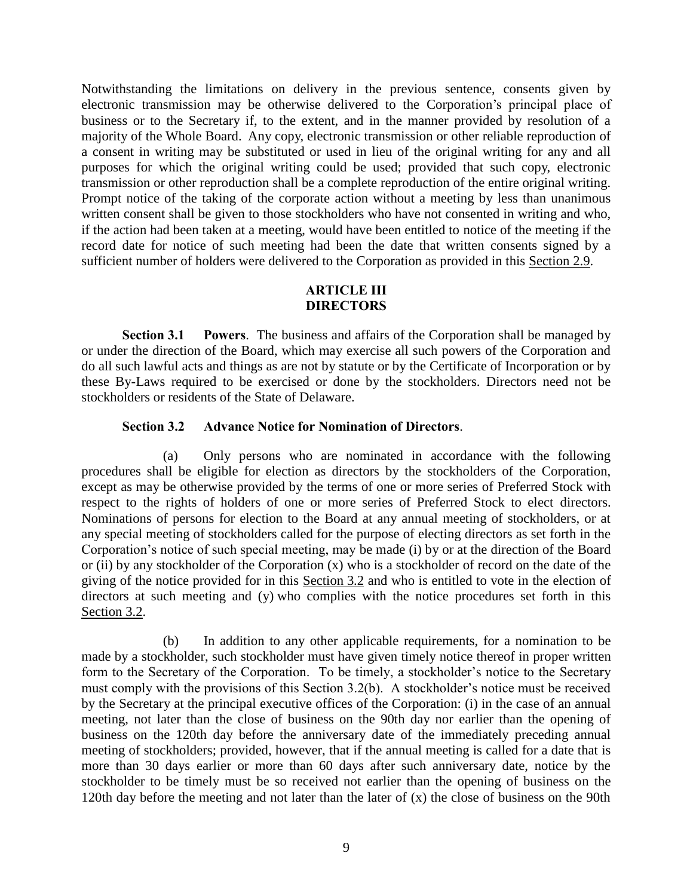Notwithstanding the limitations on delivery in the previous sentence, consents given by electronic transmission may be otherwise delivered to the Corporation's principal place of business or to the Secretary if, to the extent, and in the manner provided by resolution of a majority of the Whole Board. Any copy, electronic transmission or other reliable reproduction of a consent in writing may be substituted or used in lieu of the original writing for any and all purposes for which the original writing could be used; provided that such copy, electronic transmission or other reproduction shall be a complete reproduction of the entire original writing. Prompt notice of the taking of the corporate action without a meeting by less than unanimous written consent shall be given to those stockholders who have not consented in writing and who, if the action had been taken at a meeting, would have been entitled to notice of the meeting if the record date for notice of such meeting had been the date that written consents signed by a sufficient number of holders were delivered to the Corporation as provided in this Section 2.9.

### **ARTICLE III DIRECTORS**

**Section 3.1 Powers**. The business and affairs of the Corporation shall be managed by or under the direction of the Board, which may exercise all such powers of the Corporation and do all such lawful acts and things as are not by statute or by the Certificate of Incorporation or by these By-Laws required to be exercised or done by the stockholders. Directors need not be stockholders or residents of the State of Delaware.

#### **Section 3.2 Advance Notice for Nomination of Directors**.

(a) Only persons who are nominated in accordance with the following procedures shall be eligible for election as directors by the stockholders of the Corporation, except as may be otherwise provided by the terms of one or more series of Preferred Stock with respect to the rights of holders of one or more series of Preferred Stock to elect directors. Nominations of persons for election to the Board at any annual meeting of stockholders, or at any special meeting of stockholders called for the purpose of electing directors as set forth in the Corporation's notice of such special meeting, may be made (i) by or at the direction of the Board or (ii) by any stockholder of the Corporation (x) who is a stockholder of record on the date of the giving of the notice provided for in this Section 3.2 and who is entitled to vote in the election of directors at such meeting and (y) who complies with the notice procedures set forth in this Section 3.2.

(b) In addition to any other applicable requirements, for a nomination to be made by a stockholder, such stockholder must have given timely notice thereof in proper written form to the Secretary of the Corporation. To be timely, a stockholder's notice to the Secretary must comply with the provisions of this Section 3.2(b). A stockholder's notice must be received by the Secretary at the principal executive offices of the Corporation: (i) in the case of an annual meeting, not later than the close of business on the 90th day nor earlier than the opening of business on the 120th day before the anniversary date of the immediately preceding annual meeting of stockholders; provided, however, that if the annual meeting is called for a date that is more than 30 days earlier or more than 60 days after such anniversary date, notice by the stockholder to be timely must be so received not earlier than the opening of business on the 120th day before the meeting and not later than the later of (x) the close of business on the 90th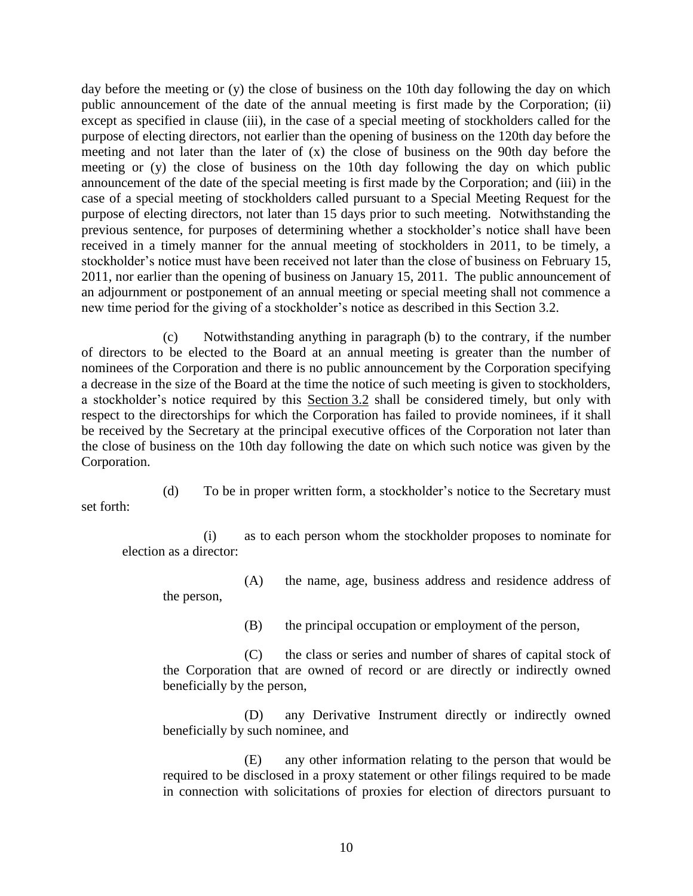day before the meeting or (y) the close of business on the 10th day following the day on which public announcement of the date of the annual meeting is first made by the Corporation; (ii) except as specified in clause (iii), in the case of a special meeting of stockholders called for the purpose of electing directors, not earlier than the opening of business on the 120th day before the meeting and not later than the later of (x) the close of business on the 90th day before the meeting or (y) the close of business on the 10th day following the day on which public announcement of the date of the special meeting is first made by the Corporation; and (iii) in the case of a special meeting of stockholders called pursuant to a Special Meeting Request for the purpose of electing directors, not later than 15 days prior to such meeting. Notwithstanding the previous sentence, for purposes of determining whether a stockholder's notice shall have been received in a timely manner for the annual meeting of stockholders in 2011, to be timely, a stockholder's notice must have been received not later than the close of business on February 15, 2011, nor earlier than the opening of business on January 15, 2011. The public announcement of an adjournment or postponement of an annual meeting or special meeting shall not commence a new time period for the giving of a stockholder's notice as described in this Section 3.2.

(c) Notwithstanding anything in paragraph (b) to the contrary, if the number of directors to be elected to the Board at an annual meeting is greater than the number of nominees of the Corporation and there is no public announcement by the Corporation specifying a decrease in the size of the Board at the time the notice of such meeting is given to stockholders, a stockholder's notice required by this Section 3.2 shall be considered timely, but only with respect to the directorships for which the Corporation has failed to provide nominees, if it shall be received by the Secretary at the principal executive offices of the Corporation not later than the close of business on the 10th day following the date on which such notice was given by the Corporation.

set forth:

(d) To be in proper written form, a stockholder's notice to the Secretary must

(i) as to each person whom the stockholder proposes to nominate for election as a director:

(A) the name, age, business address and residence address of the person,

(B) the principal occupation or employment of the person,

(C) the class or series and number of shares of capital stock of the Corporation that are owned of record or are directly or indirectly owned beneficially by the person,

(D) any Derivative Instrument directly or indirectly owned beneficially by such nominee, and

(E) any other information relating to the person that would be required to be disclosed in a proxy statement or other filings required to be made in connection with solicitations of proxies for election of directors pursuant to

10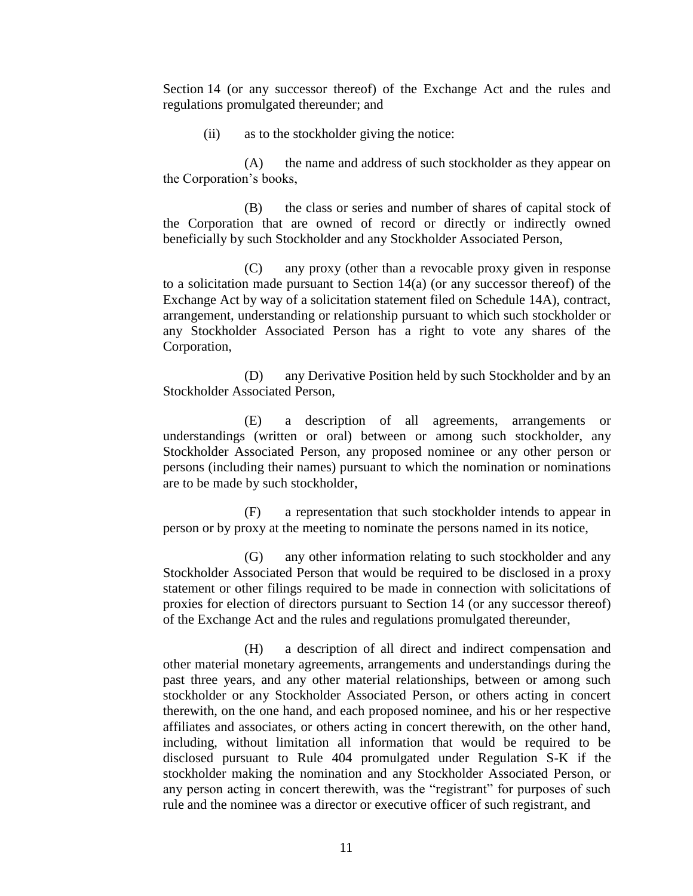Section 14 (or any successor thereof) of the Exchange Act and the rules and regulations promulgated thereunder; and

(ii) as to the stockholder giving the notice:

(A) the name and address of such stockholder as they appear on the Corporation's books,

(B) the class or series and number of shares of capital stock of the Corporation that are owned of record or directly or indirectly owned beneficially by such Stockholder and any Stockholder Associated Person,

(C) any proxy (other than a revocable proxy given in response to a solicitation made pursuant to Section 14(a) (or any successor thereof) of the Exchange Act by way of a solicitation statement filed on Schedule 14A), contract, arrangement, understanding or relationship pursuant to which such stockholder or any Stockholder Associated Person has a right to vote any shares of the Corporation,

(D) any Derivative Position held by such Stockholder and by an Stockholder Associated Person,

(E) a description of all agreements, arrangements or understandings (written or oral) between or among such stockholder, any Stockholder Associated Person, any proposed nominee or any other person or persons (including their names) pursuant to which the nomination or nominations are to be made by such stockholder,

(F) a representation that such stockholder intends to appear in person or by proxy at the meeting to nominate the persons named in its notice,

(G) any other information relating to such stockholder and any Stockholder Associated Person that would be required to be disclosed in a proxy statement or other filings required to be made in connection with solicitations of proxies for election of directors pursuant to Section 14 (or any successor thereof) of the Exchange Act and the rules and regulations promulgated thereunder,

(H) a description of all direct and indirect compensation and other material monetary agreements, arrangements and understandings during the past three years, and any other material relationships, between or among such stockholder or any Stockholder Associated Person, or others acting in concert therewith, on the one hand, and each proposed nominee, and his or her respective affiliates and associates, or others acting in concert therewith, on the other hand, including, without limitation all information that would be required to be disclosed pursuant to Rule 404 promulgated under Regulation S-K if the stockholder making the nomination and any Stockholder Associated Person, or any person acting in concert therewith, was the "registrant" for purposes of such rule and the nominee was a director or executive officer of such registrant, and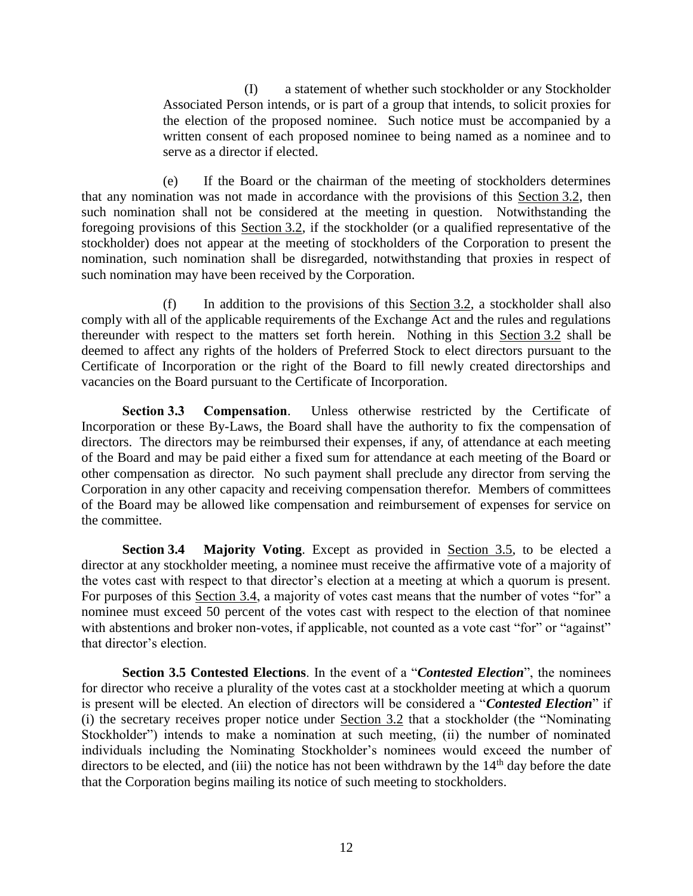(I) a statement of whether such stockholder or any Stockholder Associated Person intends, or is part of a group that intends, to solicit proxies for the election of the proposed nominee. Such notice must be accompanied by a written consent of each proposed nominee to being named as a nominee and to serve as a director if elected.

(e) If the Board or the chairman of the meeting of stockholders determines that any nomination was not made in accordance with the provisions of this Section 3.2, then such nomination shall not be considered at the meeting in question. Notwithstanding the foregoing provisions of this Section 3.2, if the stockholder (or a qualified representative of the stockholder) does not appear at the meeting of stockholders of the Corporation to present the nomination, such nomination shall be disregarded, notwithstanding that proxies in respect of such nomination may have been received by the Corporation.

(f) In addition to the provisions of this Section 3.2, a stockholder shall also comply with all of the applicable requirements of the Exchange Act and the rules and regulations thereunder with respect to the matters set forth herein. Nothing in this Section 3.2 shall be deemed to affect any rights of the holders of Preferred Stock to elect directors pursuant to the Certificate of Incorporation or the right of the Board to fill newly created directorships and vacancies on the Board pursuant to the Certificate of Incorporation.

**Section 3.3 Compensation**. Unless otherwise restricted by the Certificate of Incorporation or these By-Laws, the Board shall have the authority to fix the compensation of directors. The directors may be reimbursed their expenses, if any, of attendance at each meeting of the Board and may be paid either a fixed sum for attendance at each meeting of the Board or other compensation as director. No such payment shall preclude any director from serving the Corporation in any other capacity and receiving compensation therefor. Members of committees of the Board may be allowed like compensation and reimbursement of expenses for service on the committee.

**Section 3.4 Majority Voting**. Except as provided in Section 3.5, to be elected a director at any stockholder meeting, a nominee must receive the affirmative vote of a majority of the votes cast with respect to that director's election at a meeting at which a quorum is present. For purposes of this Section 3.4, a majority of votes cast means that the number of votes "for" a nominee must exceed 50 percent of the votes cast with respect to the election of that nominee with abstentions and broker non-votes, if applicable, not counted as a vote cast "for" or "against" that director's election.

**Section 3.5 Contested Elections**. In the event of a "*Contested Election*", the nominees for director who receive a plurality of the votes cast at a stockholder meeting at which a quorum is present will be elected. An election of directors will be considered a "*Contested Election*" if (i) the secretary receives proper notice under Section 3.2 that a stockholder (the "Nominating Stockholder") intends to make a nomination at such meeting, (ii) the number of nominated individuals including the Nominating Stockholder's nominees would exceed the number of directors to be elected, and (iii) the notice has not been withdrawn by the  $14<sup>th</sup>$  day before the date that the Corporation begins mailing its notice of such meeting to stockholders.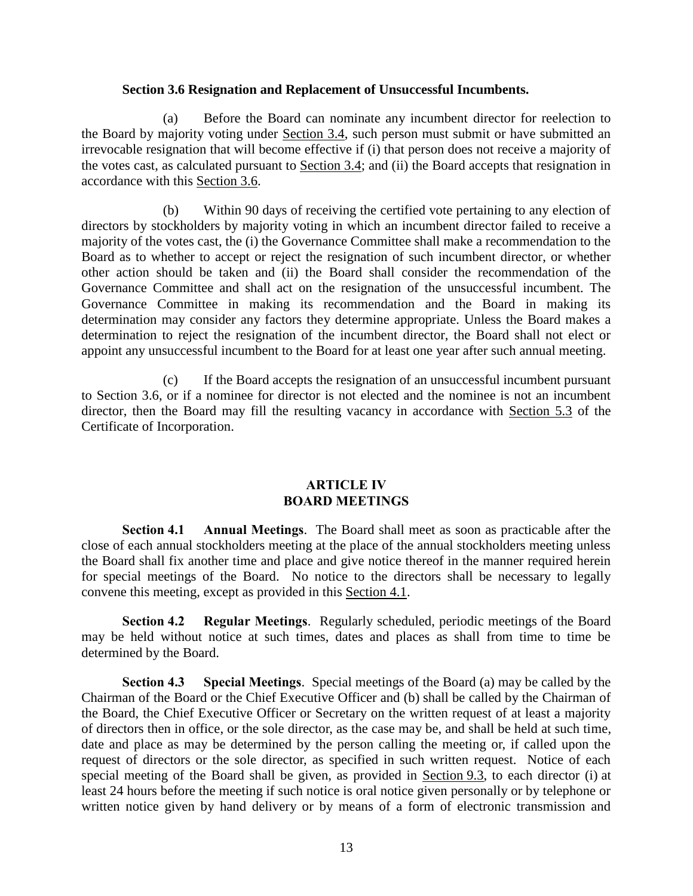#### **Section 3.6 Resignation and Replacement of Unsuccessful Incumbents.**

(a) Before the Board can nominate any incumbent director for reelection to the Board by majority voting under Section 3.4, such person must submit or have submitted an irrevocable resignation that will become effective if (i) that person does not receive a majority of the votes cast, as calculated pursuant to Section 3.4; and (ii) the Board accepts that resignation in accordance with this Section 3.6.

(b) Within 90 days of receiving the certified vote pertaining to any election of directors by stockholders by majority voting in which an incumbent director failed to receive a majority of the votes cast, the (i) the Governance Committee shall make a recommendation to the Board as to whether to accept or reject the resignation of such incumbent director, or whether other action should be taken and (ii) the Board shall consider the recommendation of the Governance Committee and shall act on the resignation of the unsuccessful incumbent. The Governance Committee in making its recommendation and the Board in making its determination may consider any factors they determine appropriate. Unless the Board makes a determination to reject the resignation of the incumbent director, the Board shall not elect or appoint any unsuccessful incumbent to the Board for at least one year after such annual meeting.

(c) If the Board accepts the resignation of an unsuccessful incumbent pursuant to Section 3.6, or if a nominee for director is not elected and the nominee is not an incumbent director, then the Board may fill the resulting vacancy in accordance with Section 5.3 of the Certificate of Incorporation.

### **ARTICLE IV BOARD MEETINGS**

**Section 4.1 Annual Meetings**. The Board shall meet as soon as practicable after the close of each annual stockholders meeting at the place of the annual stockholders meeting unless the Board shall fix another time and place and give notice thereof in the manner required herein for special meetings of the Board. No notice to the directors shall be necessary to legally convene this meeting, except as provided in this Section 4.1.

**Section 4.2 Regular Meetings**. Regularly scheduled, periodic meetings of the Board may be held without notice at such times, dates and places as shall from time to time be determined by the Board.

**Section 4.3 Special Meetings**. Special meetings of the Board (a) may be called by the Chairman of the Board or the Chief Executive Officer and (b) shall be called by the Chairman of the Board, the Chief Executive Officer or Secretary on the written request of at least a majority of directors then in office, or the sole director, as the case may be, and shall be held at such time, date and place as may be determined by the person calling the meeting or, if called upon the request of directors or the sole director, as specified in such written request. Notice of each special meeting of the Board shall be given, as provided in Section 9.3, to each director (i) at least 24 hours before the meeting if such notice is oral notice given personally or by telephone or written notice given by hand delivery or by means of a form of electronic transmission and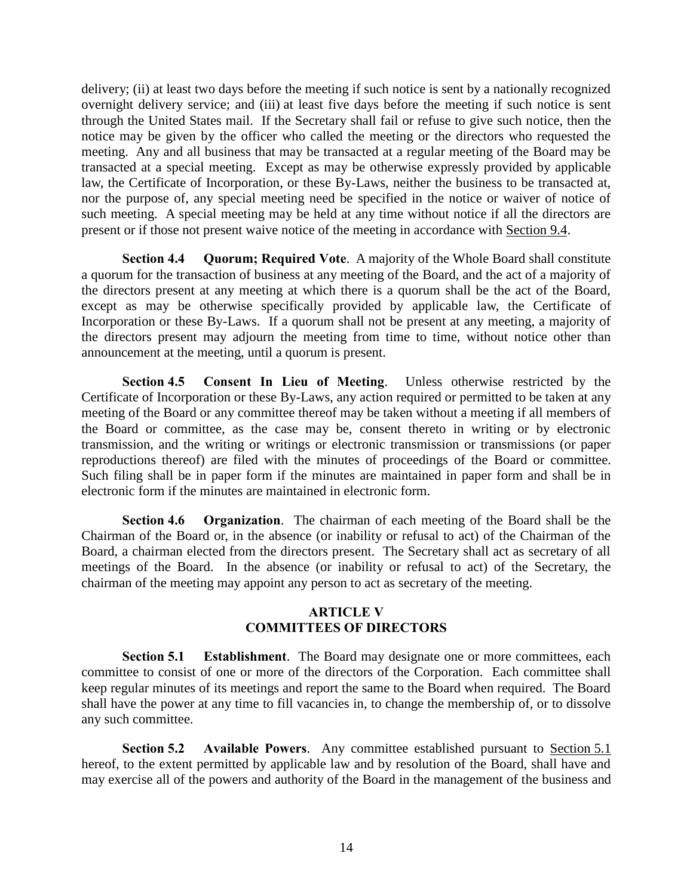delivery; (ii) at least two days before the meeting if such notice is sent by a nationally recognized overnight delivery service; and (iii) at least five days before the meeting if such notice is sent through the United States mail. If the Secretary shall fail or refuse to give such notice, then the notice may be given by the officer who called the meeting or the directors who requested the meeting. Any and all business that may be transacted at a regular meeting of the Board may be transacted at a special meeting. Except as may be otherwise expressly provided by applicable law, the Certificate of Incorporation, or these By-Laws, neither the business to be transacted at, nor the purpose of, any special meeting need be specified in the notice or waiver of notice of such meeting. A special meeting may be held at any time without notice if all the directors are present or if those not present waive notice of the meeting in accordance with Section 9.4.

**Section 4.4 Quorum; Required Vote**. A majority of the Whole Board shall constitute a quorum for the transaction of business at any meeting of the Board, and the act of a majority of the directors present at any meeting at which there is a quorum shall be the act of the Board, except as may be otherwise specifically provided by applicable law, the Certificate of Incorporation or these By-Laws. If a quorum shall not be present at any meeting, a majority of the directors present may adjourn the meeting from time to time, without notice other than announcement at the meeting, until a quorum is present.

**Section 4.5 Consent In Lieu of Meeting**. Unless otherwise restricted by the Certificate of Incorporation or these By-Laws, any action required or permitted to be taken at any meeting of the Board or any committee thereof may be taken without a meeting if all members of the Board or committee, as the case may be, consent thereto in writing or by electronic transmission, and the writing or writings or electronic transmission or transmissions (or paper reproductions thereof) are filed with the minutes of proceedings of the Board or committee. Such filing shall be in paper form if the minutes are maintained in paper form and shall be in electronic form if the minutes are maintained in electronic form.

**Section 4.6 Organization**. The chairman of each meeting of the Board shall be the Chairman of the Board or, in the absence (or inability or refusal to act) of the Chairman of the Board, a chairman elected from the directors present. The Secretary shall act as secretary of all meetings of the Board. In the absence (or inability or refusal to act) of the Secretary, the chairman of the meeting may appoint any person to act as secretary of the meeting.

### **ARTICLE V COMMITTEES OF DIRECTORS**

**Section 5.1 Establishment**. The Board may designate one or more committees, each committee to consist of one or more of the directors of the Corporation. Each committee shall keep regular minutes of its meetings and report the same to the Board when required. The Board shall have the power at any time to fill vacancies in, to change the membership of, or to dissolve any such committee.

**Section 5.2 Available Powers**. Any committee established pursuant to Section 5.1 hereof, to the extent permitted by applicable law and by resolution of the Board, shall have and may exercise all of the powers and authority of the Board in the management of the business and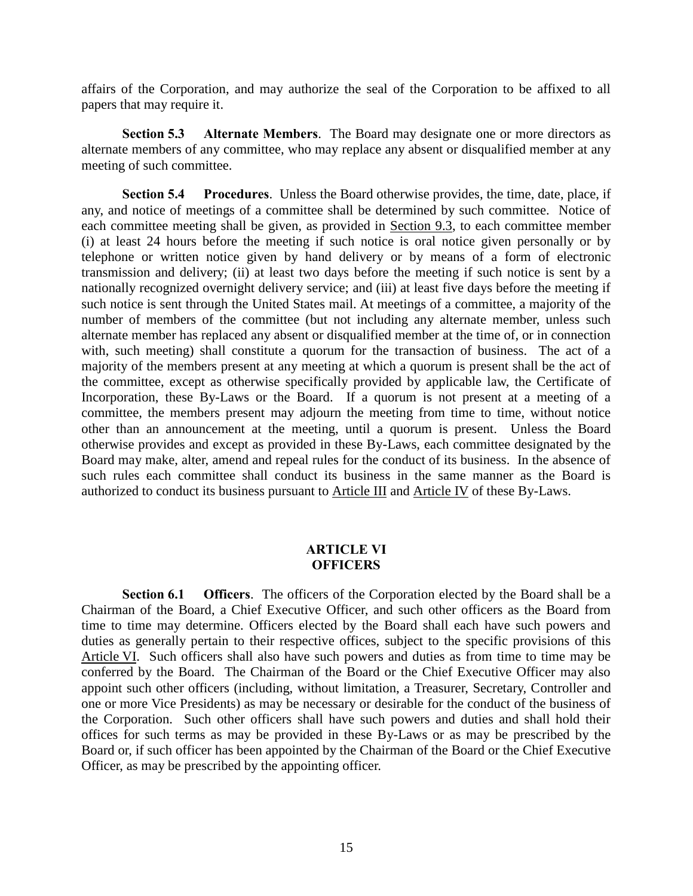affairs of the Corporation, and may authorize the seal of the Corporation to be affixed to all papers that may require it.

**Section 5.3 Alternate Members**. The Board may designate one or more directors as alternate members of any committee, who may replace any absent or disqualified member at any meeting of such committee.

**Section 5.4 Procedures**. Unless the Board otherwise provides, the time, date, place, if any, and notice of meetings of a committee shall be determined by such committee. Notice of each committee meeting shall be given, as provided in Section 9.3, to each committee member (i) at least 24 hours before the meeting if such notice is oral notice given personally or by telephone or written notice given by hand delivery or by means of a form of electronic transmission and delivery; (ii) at least two days before the meeting if such notice is sent by a nationally recognized overnight delivery service; and (iii) at least five days before the meeting if such notice is sent through the United States mail. At meetings of a committee, a majority of the number of members of the committee (but not including any alternate member, unless such alternate member has replaced any absent or disqualified member at the time of, or in connection with, such meeting) shall constitute a quorum for the transaction of business. The act of a majority of the members present at any meeting at which a quorum is present shall be the act of the committee, except as otherwise specifically provided by applicable law, the Certificate of Incorporation, these By-Laws or the Board. If a quorum is not present at a meeting of a committee, the members present may adjourn the meeting from time to time, without notice other than an announcement at the meeting, until a quorum is present. Unless the Board otherwise provides and except as provided in these By-Laws, each committee designated by the Board may make, alter, amend and repeal rules for the conduct of its business. In the absence of such rules each committee shall conduct its business in the same manner as the Board is authorized to conduct its business pursuant to Article III and Article IV of these By-Laws.

### **ARTICLE VI OFFICERS**

**Section 6.1 Officers**. The officers of the Corporation elected by the Board shall be a Chairman of the Board, a Chief Executive Officer, and such other officers as the Board from time to time may determine. Officers elected by the Board shall each have such powers and duties as generally pertain to their respective offices, subject to the specific provisions of this Article VI. Such officers shall also have such powers and duties as from time to time may be conferred by the Board. The Chairman of the Board or the Chief Executive Officer may also appoint such other officers (including, without limitation, a Treasurer, Secretary, Controller and one or more Vice Presidents) as may be necessary or desirable for the conduct of the business of the Corporation. Such other officers shall have such powers and duties and shall hold their offices for such terms as may be provided in these By-Laws or as may be prescribed by the Board or, if such officer has been appointed by the Chairman of the Board or the Chief Executive Officer, as may be prescribed by the appointing officer.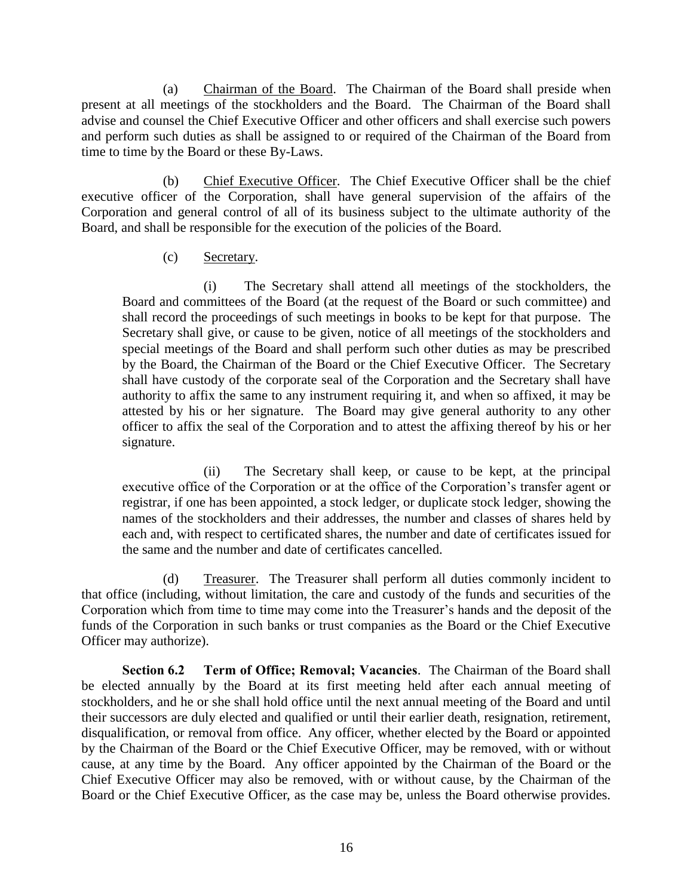(a) Chairman of the Board. The Chairman of the Board shall preside when present at all meetings of the stockholders and the Board. The Chairman of the Board shall advise and counsel the Chief Executive Officer and other officers and shall exercise such powers and perform such duties as shall be assigned to or required of the Chairman of the Board from time to time by the Board or these By-Laws.

(b) Chief Executive Officer. The Chief Executive Officer shall be the chief executive officer of the Corporation, shall have general supervision of the affairs of the Corporation and general control of all of its business subject to the ultimate authority of the Board, and shall be responsible for the execution of the policies of the Board.

## (c) Secretary.

(i) The Secretary shall attend all meetings of the stockholders, the Board and committees of the Board (at the request of the Board or such committee) and shall record the proceedings of such meetings in books to be kept for that purpose. The Secretary shall give, or cause to be given, notice of all meetings of the stockholders and special meetings of the Board and shall perform such other duties as may be prescribed by the Board, the Chairman of the Board or the Chief Executive Officer. The Secretary shall have custody of the corporate seal of the Corporation and the Secretary shall have authority to affix the same to any instrument requiring it, and when so affixed, it may be attested by his or her signature. The Board may give general authority to any other officer to affix the seal of the Corporation and to attest the affixing thereof by his or her signature.

(ii) The Secretary shall keep, or cause to be kept, at the principal executive office of the Corporation or at the office of the Corporation's transfer agent or registrar, if one has been appointed, a stock ledger, or duplicate stock ledger, showing the names of the stockholders and their addresses, the number and classes of shares held by each and, with respect to certificated shares, the number and date of certificates issued for the same and the number and date of certificates cancelled.

(d) Treasurer. The Treasurer shall perform all duties commonly incident to that office (including, without limitation, the care and custody of the funds and securities of the Corporation which from time to time may come into the Treasurer's hands and the deposit of the funds of the Corporation in such banks or trust companies as the Board or the Chief Executive Officer may authorize).

**Section 6.2 Term of Office; Removal; Vacancies**. The Chairman of the Board shall be elected annually by the Board at its first meeting held after each annual meeting of stockholders, and he or she shall hold office until the next annual meeting of the Board and until their successors are duly elected and qualified or until their earlier death, resignation, retirement, disqualification, or removal from office. Any officer, whether elected by the Board or appointed by the Chairman of the Board or the Chief Executive Officer, may be removed, with or without cause, at any time by the Board. Any officer appointed by the Chairman of the Board or the Chief Executive Officer may also be removed, with or without cause, by the Chairman of the Board or the Chief Executive Officer, as the case may be, unless the Board otherwise provides.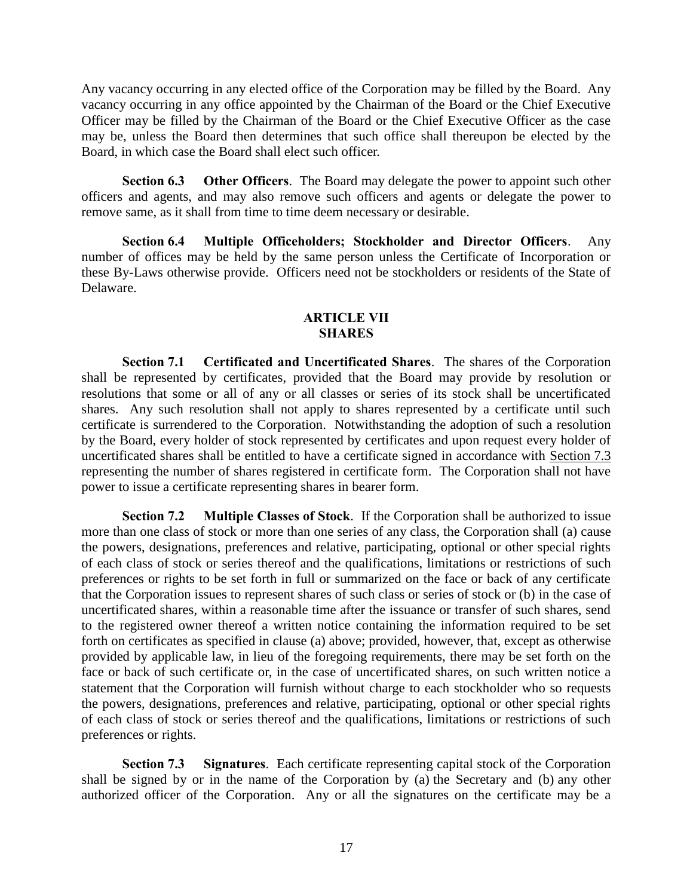Any vacancy occurring in any elected office of the Corporation may be filled by the Board. Any vacancy occurring in any office appointed by the Chairman of the Board or the Chief Executive Officer may be filled by the Chairman of the Board or the Chief Executive Officer as the case may be, unless the Board then determines that such office shall thereupon be elected by the Board, in which case the Board shall elect such officer.

**Section 6.3 Other Officers**. The Board may delegate the power to appoint such other officers and agents, and may also remove such officers and agents or delegate the power to remove same, as it shall from time to time deem necessary or desirable.

**Section 6.4 Multiple Officeholders; Stockholder and Director Officers**. Any number of offices may be held by the same person unless the Certificate of Incorporation or these By-Laws otherwise provide. Officers need not be stockholders or residents of the State of Delaware.

#### **ARTICLE VII SHARES**

**Section 7.1 Certificated and Uncertificated Shares**. The shares of the Corporation shall be represented by certificates, provided that the Board may provide by resolution or resolutions that some or all of any or all classes or series of its stock shall be uncertificated shares. Any such resolution shall not apply to shares represented by a certificate until such certificate is surrendered to the Corporation. Notwithstanding the adoption of such a resolution by the Board, every holder of stock represented by certificates and upon request every holder of uncertificated shares shall be entitled to have a certificate signed in accordance with Section 7.3 representing the number of shares registered in certificate form. The Corporation shall not have power to issue a certificate representing shares in bearer form.

**Section 7.2 Multiple Classes of Stock**. If the Corporation shall be authorized to issue more than one class of stock or more than one series of any class, the Corporation shall (a) cause the powers, designations, preferences and relative, participating, optional or other special rights of each class of stock or series thereof and the qualifications, limitations or restrictions of such preferences or rights to be set forth in full or summarized on the face or back of any certificate that the Corporation issues to represent shares of such class or series of stock or (b) in the case of uncertificated shares, within a reasonable time after the issuance or transfer of such shares, send to the registered owner thereof a written notice containing the information required to be set forth on certificates as specified in clause (a) above; provided, however, that, except as otherwise provided by applicable law, in lieu of the foregoing requirements, there may be set forth on the face or back of such certificate or, in the case of uncertificated shares, on such written notice a statement that the Corporation will furnish without charge to each stockholder who so requests the powers, designations, preferences and relative, participating, optional or other special rights of each class of stock or series thereof and the qualifications, limitations or restrictions of such preferences or rights.

**Section 7.3 Signatures**. Each certificate representing capital stock of the Corporation shall be signed by or in the name of the Corporation by (a) the Secretary and (b) any other authorized officer of the Corporation. Any or all the signatures on the certificate may be a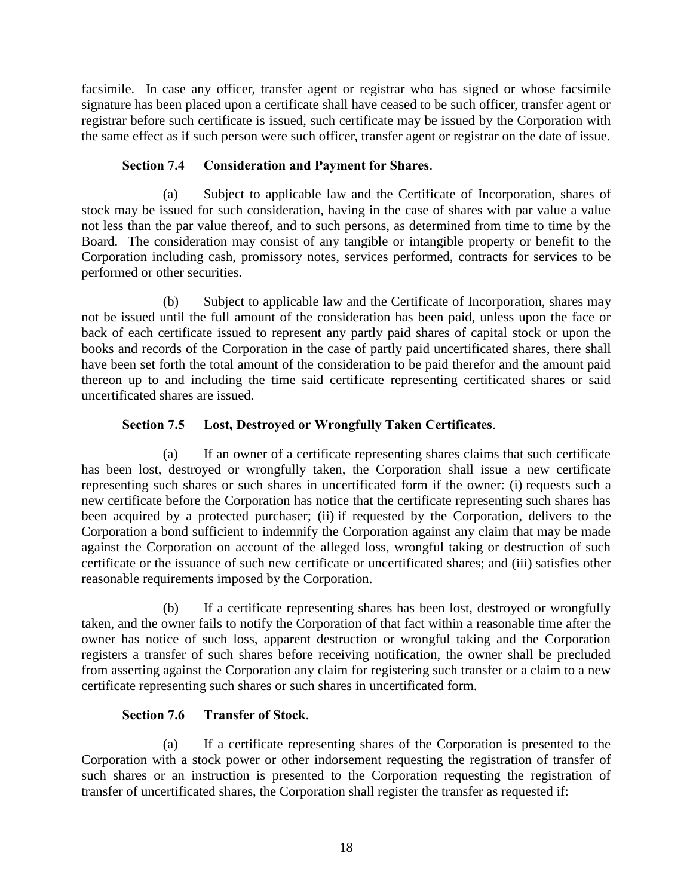facsimile. In case any officer, transfer agent or registrar who has signed or whose facsimile signature has been placed upon a certificate shall have ceased to be such officer, transfer agent or registrar before such certificate is issued, such certificate may be issued by the Corporation with the same effect as if such person were such officer, transfer agent or registrar on the date of issue.

# **Section 7.4 Consideration and Payment for Shares**.

(a) Subject to applicable law and the Certificate of Incorporation, shares of stock may be issued for such consideration, having in the case of shares with par value a value not less than the par value thereof, and to such persons, as determined from time to time by the Board. The consideration may consist of any tangible or intangible property or benefit to the Corporation including cash, promissory notes, services performed, contracts for services to be performed or other securities.

(b) Subject to applicable law and the Certificate of Incorporation, shares may not be issued until the full amount of the consideration has been paid, unless upon the face or back of each certificate issued to represent any partly paid shares of capital stock or upon the books and records of the Corporation in the case of partly paid uncertificated shares, there shall have been set forth the total amount of the consideration to be paid therefor and the amount paid thereon up to and including the time said certificate representing certificated shares or said uncertificated shares are issued.

# **Section 7.5 Lost, Destroyed or Wrongfully Taken Certificates**.

(a) If an owner of a certificate representing shares claims that such certificate has been lost, destroyed or wrongfully taken, the Corporation shall issue a new certificate representing such shares or such shares in uncertificated form if the owner: (i) requests such a new certificate before the Corporation has notice that the certificate representing such shares has been acquired by a protected purchaser; (ii) if requested by the Corporation, delivers to the Corporation a bond sufficient to indemnify the Corporation against any claim that may be made against the Corporation on account of the alleged loss, wrongful taking or destruction of such certificate or the issuance of such new certificate or uncertificated shares; and (iii) satisfies other reasonable requirements imposed by the Corporation.

(b) If a certificate representing shares has been lost, destroyed or wrongfully taken, and the owner fails to notify the Corporation of that fact within a reasonable time after the owner has notice of such loss, apparent destruction or wrongful taking and the Corporation registers a transfer of such shares before receiving notification, the owner shall be precluded from asserting against the Corporation any claim for registering such transfer or a claim to a new certificate representing such shares or such shares in uncertificated form.

# **Section 7.6 Transfer of Stock**.

(a) If a certificate representing shares of the Corporation is presented to the Corporation with a stock power or other indorsement requesting the registration of transfer of such shares or an instruction is presented to the Corporation requesting the registration of transfer of uncertificated shares, the Corporation shall register the transfer as requested if: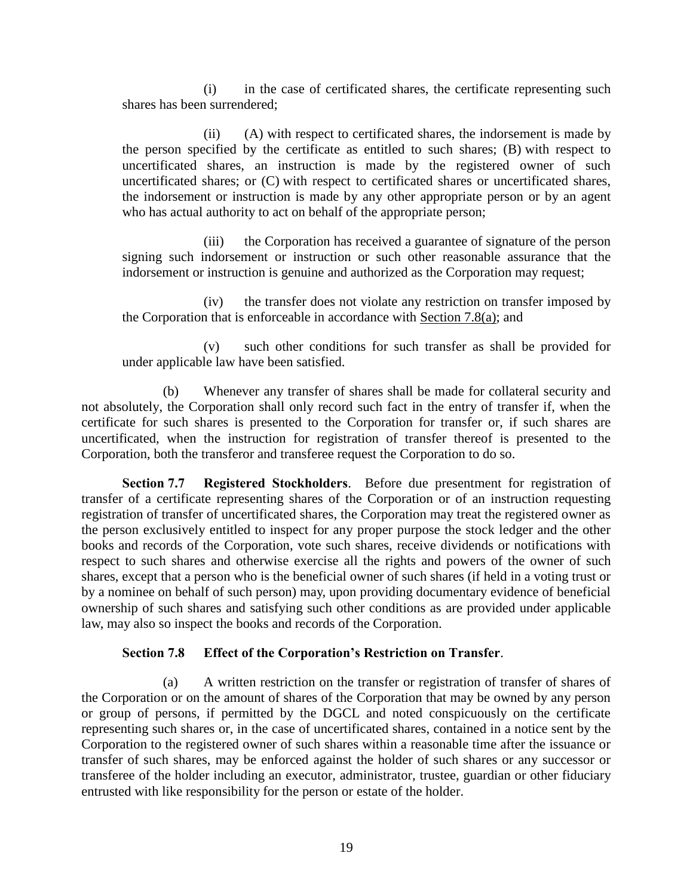(i) in the case of certificated shares, the certificate representing such shares has been surrendered;

(ii) (A) with respect to certificated shares, the indorsement is made by the person specified by the certificate as entitled to such shares; (B) with respect to uncertificated shares, an instruction is made by the registered owner of such uncertificated shares; or (C) with respect to certificated shares or uncertificated shares, the indorsement or instruction is made by any other appropriate person or by an agent who has actual authority to act on behalf of the appropriate person;

(iii) the Corporation has received a guarantee of signature of the person signing such indorsement or instruction or such other reasonable assurance that the indorsement or instruction is genuine and authorized as the Corporation may request;

(iv) the transfer does not violate any restriction on transfer imposed by the Corporation that is enforceable in accordance with Section 7.8(a); and

(v) such other conditions for such transfer as shall be provided for under applicable law have been satisfied.

(b) Whenever any transfer of shares shall be made for collateral security and not absolutely, the Corporation shall only record such fact in the entry of transfer if, when the certificate for such shares is presented to the Corporation for transfer or, if such shares are uncertificated, when the instruction for registration of transfer thereof is presented to the Corporation, both the transferor and transferee request the Corporation to do so.

**Section 7.7 Registered Stockholders**. Before due presentment for registration of transfer of a certificate representing shares of the Corporation or of an instruction requesting registration of transfer of uncertificated shares, the Corporation may treat the registered owner as the person exclusively entitled to inspect for any proper purpose the stock ledger and the other books and records of the Corporation, vote such shares, receive dividends or notifications with respect to such shares and otherwise exercise all the rights and powers of the owner of such shares, except that a person who is the beneficial owner of such shares (if held in a voting trust or by a nominee on behalf of such person) may, upon providing documentary evidence of beneficial ownership of such shares and satisfying such other conditions as are provided under applicable law, may also so inspect the books and records of the Corporation.

### **Section 7.8 Effect of the Corporation's Restriction on Transfer**.

(a) A written restriction on the transfer or registration of transfer of shares of the Corporation or on the amount of shares of the Corporation that may be owned by any person or group of persons, if permitted by the DGCL and noted conspicuously on the certificate representing such shares or, in the case of uncertificated shares, contained in a notice sent by the Corporation to the registered owner of such shares within a reasonable time after the issuance or transfer of such shares, may be enforced against the holder of such shares or any successor or transferee of the holder including an executor, administrator, trustee, guardian or other fiduciary entrusted with like responsibility for the person or estate of the holder.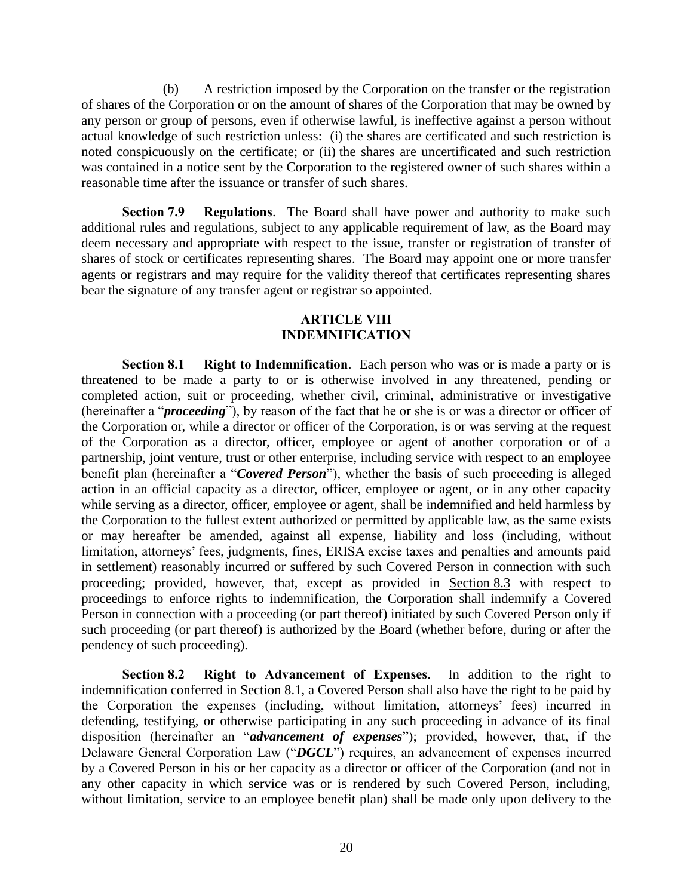(b) A restriction imposed by the Corporation on the transfer or the registration of shares of the Corporation or on the amount of shares of the Corporation that may be owned by any person or group of persons, even if otherwise lawful, is ineffective against a person without actual knowledge of such restriction unless: (i) the shares are certificated and such restriction is noted conspicuously on the certificate; or (ii) the shares are uncertificated and such restriction was contained in a notice sent by the Corporation to the registered owner of such shares within a reasonable time after the issuance or transfer of such shares.

**Section 7.9 Regulations**. The Board shall have power and authority to make such additional rules and regulations, subject to any applicable requirement of law, as the Board may deem necessary and appropriate with respect to the issue, transfer or registration of transfer of shares of stock or certificates representing shares. The Board may appoint one or more transfer agents or registrars and may require for the validity thereof that certificates representing shares bear the signature of any transfer agent or registrar so appointed.

#### **ARTICLE VIII INDEMNIFICATION**

**Section 8.1 Right to Indemnification**. Each person who was or is made a party or is threatened to be made a party to or is otherwise involved in any threatened, pending or completed action, suit or proceeding, whether civil, criminal, administrative or investigative (hereinafter a "*proceeding*"), by reason of the fact that he or she is or was a director or officer of the Corporation or, while a director or officer of the Corporation, is or was serving at the request of the Corporation as a director, officer, employee or agent of another corporation or of a partnership, joint venture, trust or other enterprise, including service with respect to an employee benefit plan (hereinafter a "*Covered Person*"), whether the basis of such proceeding is alleged action in an official capacity as a director, officer, employee or agent, or in any other capacity while serving as a director, officer, employee or agent, shall be indemnified and held harmless by the Corporation to the fullest extent authorized or permitted by applicable law, as the same exists or may hereafter be amended, against all expense, liability and loss (including, without limitation, attorneys' fees, judgments, fines, ERISA excise taxes and penalties and amounts paid in settlement) reasonably incurred or suffered by such Covered Person in connection with such proceeding; provided, however, that, except as provided in Section 8.3 with respect to proceedings to enforce rights to indemnification, the Corporation shall indemnify a Covered Person in connection with a proceeding (or part thereof) initiated by such Covered Person only if such proceeding (or part thereof) is authorized by the Board (whether before, during or after the pendency of such proceeding).

**Section 8.2 Right to Advancement of Expenses**. In addition to the right to indemnification conferred in Section 8.1, a Covered Person shall also have the right to be paid by the Corporation the expenses (including, without limitation, attorneys' fees) incurred in defending, testifying, or otherwise participating in any such proceeding in advance of its final disposition (hereinafter an "*advancement of expenses*"); provided, however, that, if the Delaware General Corporation Law ("*DGCL*") requires, an advancement of expenses incurred by a Covered Person in his or her capacity as a director or officer of the Corporation (and not in any other capacity in which service was or is rendered by such Covered Person, including, without limitation, service to an employee benefit plan) shall be made only upon delivery to the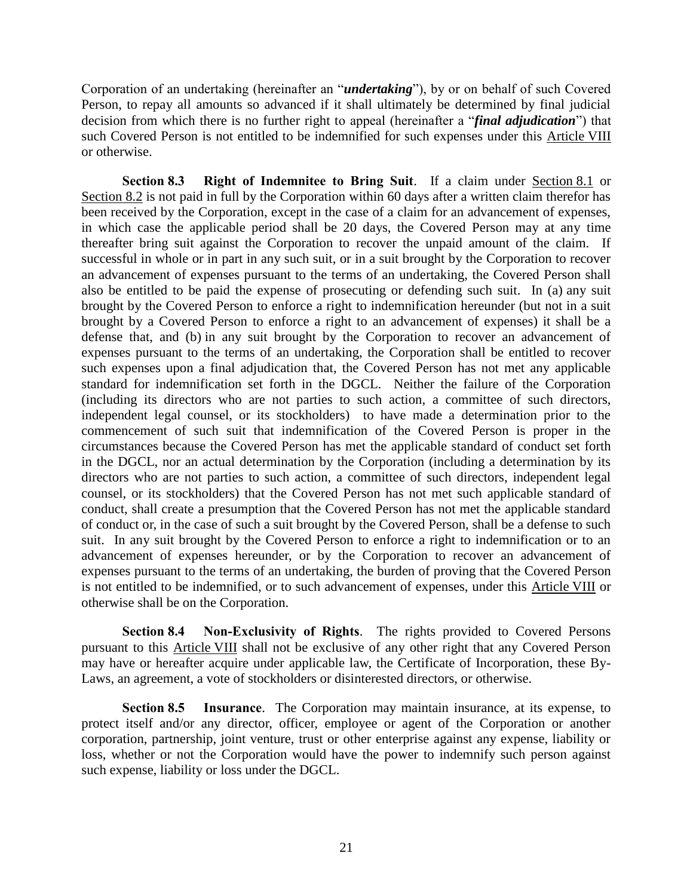Corporation of an undertaking (hereinafter an "*undertaking*"), by or on behalf of such Covered Person, to repay all amounts so advanced if it shall ultimately be determined by final judicial decision from which there is no further right to appeal (hereinafter a "*final adjudication*") that such Covered Person is not entitled to be indemnified for such expenses under this Article VIII or otherwise.

**Section 8.3 Right of Indemnitee to Bring Suit**. If a claim under Section 8.1 or Section 8.2 is not paid in full by the Corporation within 60 days after a written claim therefor has been received by the Corporation, except in the case of a claim for an advancement of expenses, in which case the applicable period shall be 20 days, the Covered Person may at any time thereafter bring suit against the Corporation to recover the unpaid amount of the claim. If successful in whole or in part in any such suit, or in a suit brought by the Corporation to recover an advancement of expenses pursuant to the terms of an undertaking, the Covered Person shall also be entitled to be paid the expense of prosecuting or defending such suit. In (a) any suit brought by the Covered Person to enforce a right to indemnification hereunder (but not in a suit brought by a Covered Person to enforce a right to an advancement of expenses) it shall be a defense that, and (b) in any suit brought by the Corporation to recover an advancement of expenses pursuant to the terms of an undertaking, the Corporation shall be entitled to recover such expenses upon a final adjudication that, the Covered Person has not met any applicable standard for indemnification set forth in the DGCL. Neither the failure of the Corporation (including its directors who are not parties to such action, a committee of such directors, independent legal counsel, or its stockholders) to have made a determination prior to the commencement of such suit that indemnification of the Covered Person is proper in the circumstances because the Covered Person has met the applicable standard of conduct set forth in the DGCL, nor an actual determination by the Corporation (including a determination by its directors who are not parties to such action, a committee of such directors, independent legal counsel, or its stockholders) that the Covered Person has not met such applicable standard of conduct, shall create a presumption that the Covered Person has not met the applicable standard of conduct or, in the case of such a suit brought by the Covered Person, shall be a defense to such suit. In any suit brought by the Covered Person to enforce a right to indemnification or to an advancement of expenses hereunder, or by the Corporation to recover an advancement of expenses pursuant to the terms of an undertaking, the burden of proving that the Covered Person is not entitled to be indemnified, or to such advancement of expenses, under this Article VIII or otherwise shall be on the Corporation.

**Section 8.4 Non-Exclusivity of Rights**. The rights provided to Covered Persons pursuant to this Article VIII shall not be exclusive of any other right that any Covered Person may have or hereafter acquire under applicable law, the Certificate of Incorporation, these By-Laws, an agreement, a vote of stockholders or disinterested directors, or otherwise.

**Section 8.5 Insurance**. The Corporation may maintain insurance, at its expense, to protect itself and/or any director, officer, employee or agent of the Corporation or another corporation, partnership, joint venture, trust or other enterprise against any expense, liability or loss, whether or not the Corporation would have the power to indemnify such person against such expense, liability or loss under the DGCL.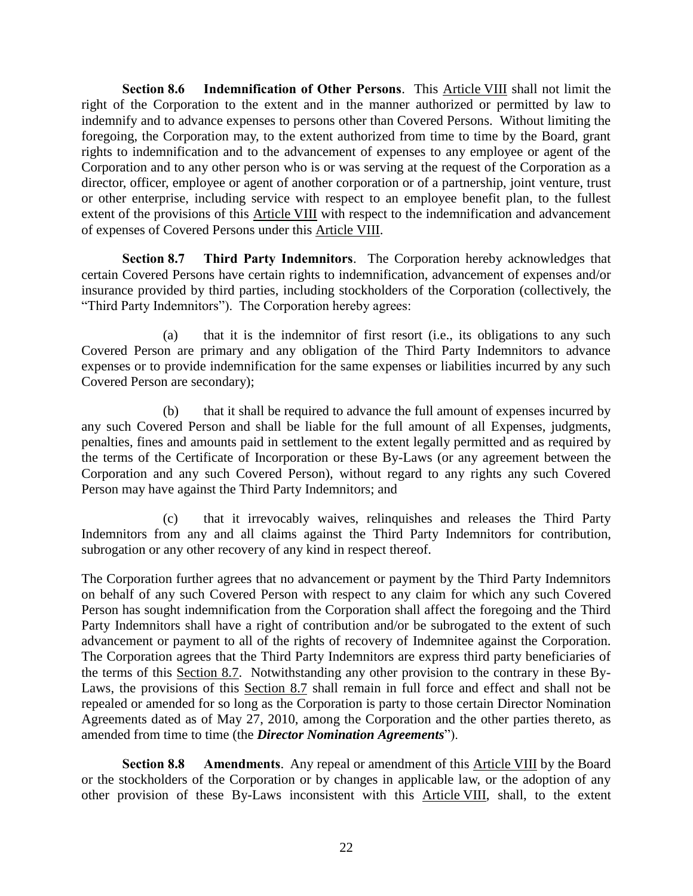**Section 8.6 Indemnification of Other Persons**. This Article VIII shall not limit the right of the Corporation to the extent and in the manner authorized or permitted by law to indemnify and to advance expenses to persons other than Covered Persons. Without limiting the foregoing, the Corporation may, to the extent authorized from time to time by the Board, grant rights to indemnification and to the advancement of expenses to any employee or agent of the Corporation and to any other person who is or was serving at the request of the Corporation as a director, officer, employee or agent of another corporation or of a partnership, joint venture, trust or other enterprise, including service with respect to an employee benefit plan, to the fullest extent of the provisions of this Article VIII with respect to the indemnification and advancement of expenses of Covered Persons under this Article VIII.

**Section 8.7 Third Party Indemnitors**. The Corporation hereby acknowledges that certain Covered Persons have certain rights to indemnification, advancement of expenses and/or insurance provided by third parties, including stockholders of the Corporation (collectively, the "Third Party Indemnitors"). The Corporation hereby agrees:

(a) that it is the indemnitor of first resort (i.e., its obligations to any such Covered Person are primary and any obligation of the Third Party Indemnitors to advance expenses or to provide indemnification for the same expenses or liabilities incurred by any such Covered Person are secondary);

(b) that it shall be required to advance the full amount of expenses incurred by any such Covered Person and shall be liable for the full amount of all Expenses, judgments, penalties, fines and amounts paid in settlement to the extent legally permitted and as required by the terms of the Certificate of Incorporation or these By-Laws (or any agreement between the Corporation and any such Covered Person), without regard to any rights any such Covered Person may have against the Third Party Indemnitors; and

(c) that it irrevocably waives, relinquishes and releases the Third Party Indemnitors from any and all claims against the Third Party Indemnitors for contribution, subrogation or any other recovery of any kind in respect thereof.

The Corporation further agrees that no advancement or payment by the Third Party Indemnitors on behalf of any such Covered Person with respect to any claim for which any such Covered Person has sought indemnification from the Corporation shall affect the foregoing and the Third Party Indemnitors shall have a right of contribution and/or be subrogated to the extent of such advancement or payment to all of the rights of recovery of Indemnitee against the Corporation. The Corporation agrees that the Third Party Indemnitors are express third party beneficiaries of the terms of this Section 8.7. Notwithstanding any other provision to the contrary in these By-Laws, the provisions of this Section 8.7 shall remain in full force and effect and shall not be repealed or amended for so long as the Corporation is party to those certain Director Nomination Agreements dated as of May 27, 2010, among the Corporation and the other parties thereto, as amended from time to time (the *Director Nomination Agreements*").

**Section 8.8 Amendments**. Any repeal or amendment of this Article VIII by the Board or the stockholders of the Corporation or by changes in applicable law, or the adoption of any other provision of these By-Laws inconsistent with this Article VIII, shall, to the extent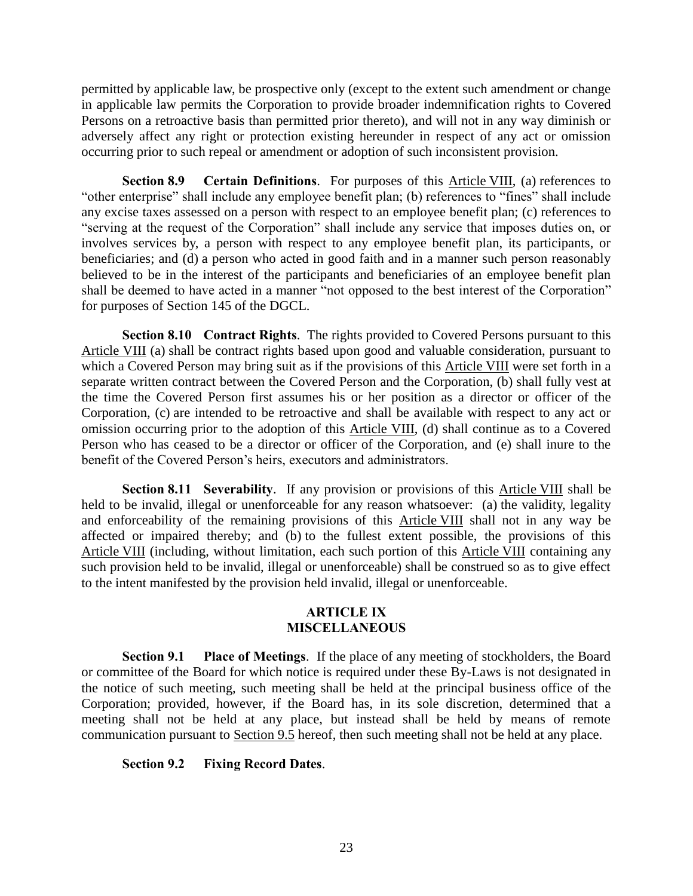permitted by applicable law, be prospective only (except to the extent such amendment or change in applicable law permits the Corporation to provide broader indemnification rights to Covered Persons on a retroactive basis than permitted prior thereto), and will not in any way diminish or adversely affect any right or protection existing hereunder in respect of any act or omission occurring prior to such repeal or amendment or adoption of such inconsistent provision.

**Section 8.9 Certain Definitions**. For purposes of this Article VIII, (a) references to "other enterprise" shall include any employee benefit plan; (b) references to "fines" shall include any excise taxes assessed on a person with respect to an employee benefit plan; (c) references to "serving at the request of the Corporation" shall include any service that imposes duties on, or involves services by, a person with respect to any employee benefit plan, its participants, or beneficiaries; and (d) a person who acted in good faith and in a manner such person reasonably believed to be in the interest of the participants and beneficiaries of an employee benefit plan shall be deemed to have acted in a manner "not opposed to the best interest of the Corporation" for purposes of Section 145 of the DGCL.

**Section 8.10 Contract Rights**. The rights provided to Covered Persons pursuant to this Article VIII (a) shall be contract rights based upon good and valuable consideration, pursuant to which a Covered Person may bring suit as if the provisions of this Article VIII were set forth in a separate written contract between the Covered Person and the Corporation, (b) shall fully vest at the time the Covered Person first assumes his or her position as a director or officer of the Corporation, (c) are intended to be retroactive and shall be available with respect to any act or omission occurring prior to the adoption of this Article VIII, (d) shall continue as to a Covered Person who has ceased to be a director or officer of the Corporation, and (e) shall inure to the benefit of the Covered Person's heirs, executors and administrators.

**Section 8.11 Severability.** If any provision or provisions of this **Article VIII** shall be held to be invalid, illegal or unenforceable for any reason whatsoever: (a) the validity, legality and enforceability of the remaining provisions of this Article VIII shall not in any way be affected or impaired thereby; and (b) to the fullest extent possible, the provisions of this Article VIII (including, without limitation, each such portion of this Article VIII containing any such provision held to be invalid, illegal or unenforceable) shall be construed so as to give effect to the intent manifested by the provision held invalid, illegal or unenforceable.

#### **ARTICLE IX MISCELLANEOUS**

**Section 9.1 Place of Meetings**. If the place of any meeting of stockholders, the Board or committee of the Board for which notice is required under these By-Laws is not designated in the notice of such meeting, such meeting shall be held at the principal business office of the Corporation; provided, however, if the Board has, in its sole discretion, determined that a meeting shall not be held at any place, but instead shall be held by means of remote communication pursuant to Section 9.5 hereof, then such meeting shall not be held at any place.

### **Section 9.2 Fixing Record Dates**.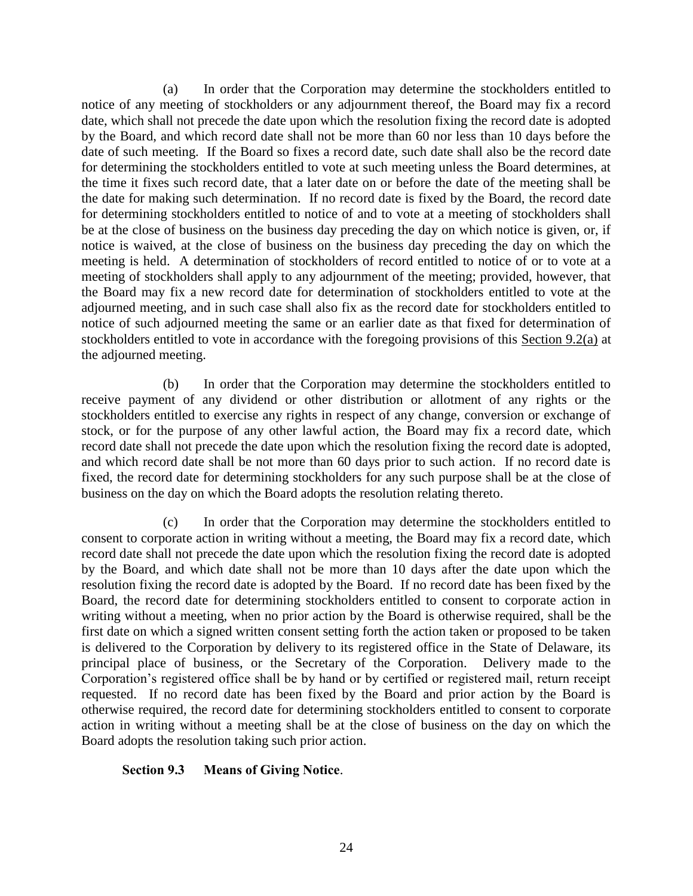(a) In order that the Corporation may determine the stockholders entitled to notice of any meeting of stockholders or any adjournment thereof, the Board may fix a record date, which shall not precede the date upon which the resolution fixing the record date is adopted by the Board, and which record date shall not be more than 60 nor less than 10 days before the date of such meeting. If the Board so fixes a record date, such date shall also be the record date for determining the stockholders entitled to vote at such meeting unless the Board determines, at the time it fixes such record date, that a later date on or before the date of the meeting shall be the date for making such determination. If no record date is fixed by the Board, the record date for determining stockholders entitled to notice of and to vote at a meeting of stockholders shall be at the close of business on the business day preceding the day on which notice is given, or, if notice is waived, at the close of business on the business day preceding the day on which the meeting is held. A determination of stockholders of record entitled to notice of or to vote at a meeting of stockholders shall apply to any adjournment of the meeting; provided, however, that the Board may fix a new record date for determination of stockholders entitled to vote at the adjourned meeting, and in such case shall also fix as the record date for stockholders entitled to notice of such adjourned meeting the same or an earlier date as that fixed for determination of stockholders entitled to vote in accordance with the foregoing provisions of this Section 9.2(a) at the adjourned meeting.

(b) In order that the Corporation may determine the stockholders entitled to receive payment of any dividend or other distribution or allotment of any rights or the stockholders entitled to exercise any rights in respect of any change, conversion or exchange of stock, or for the purpose of any other lawful action, the Board may fix a record date, which record date shall not precede the date upon which the resolution fixing the record date is adopted, and which record date shall be not more than 60 days prior to such action. If no record date is fixed, the record date for determining stockholders for any such purpose shall be at the close of business on the day on which the Board adopts the resolution relating thereto.

(c) In order that the Corporation may determine the stockholders entitled to consent to corporate action in writing without a meeting, the Board may fix a record date, which record date shall not precede the date upon which the resolution fixing the record date is adopted by the Board, and which date shall not be more than 10 days after the date upon which the resolution fixing the record date is adopted by the Board. If no record date has been fixed by the Board, the record date for determining stockholders entitled to consent to corporate action in writing without a meeting, when no prior action by the Board is otherwise required, shall be the first date on which a signed written consent setting forth the action taken or proposed to be taken is delivered to the Corporation by delivery to its registered office in the State of Delaware, its principal place of business, or the Secretary of the Corporation. Delivery made to the Corporation's registered office shall be by hand or by certified or registered mail, return receipt requested. If no record date has been fixed by the Board and prior action by the Board is otherwise required, the record date for determining stockholders entitled to consent to corporate action in writing without a meeting shall be at the close of business on the day on which the Board adopts the resolution taking such prior action.

### **Section 9.3 Means of Giving Notice**.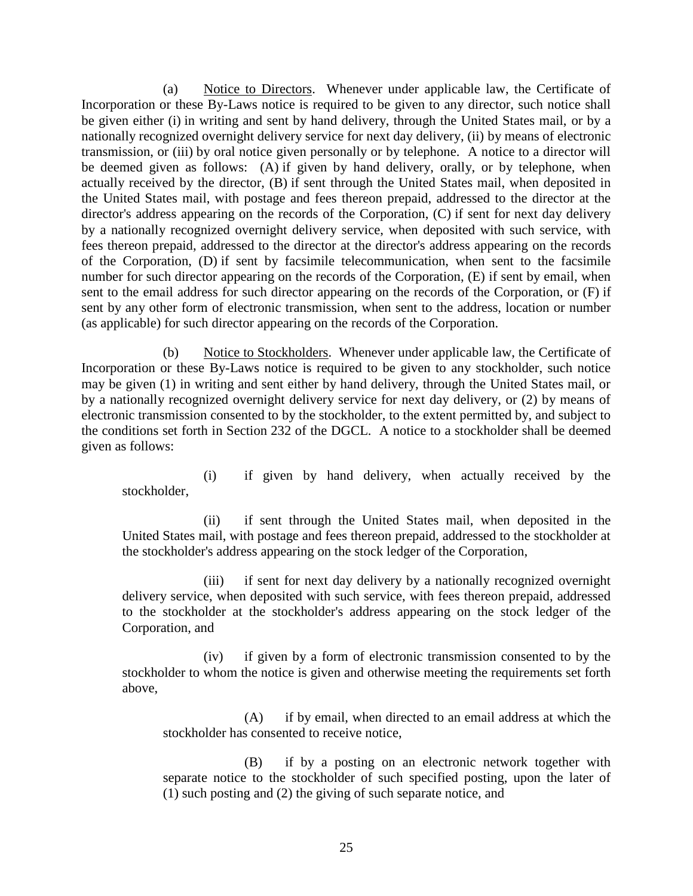(a) Notice to Directors. Whenever under applicable law, the Certificate of Incorporation or these By-Laws notice is required to be given to any director, such notice shall be given either (i) in writing and sent by hand delivery, through the United States mail, or by a nationally recognized overnight delivery service for next day delivery, (ii) by means of electronic transmission, or (iii) by oral notice given personally or by telephone. A notice to a director will be deemed given as follows: (A) if given by hand delivery, orally, or by telephone, when actually received by the director, (B) if sent through the United States mail, when deposited in the United States mail, with postage and fees thereon prepaid, addressed to the director at the director's address appearing on the records of the Corporation, (C) if sent for next day delivery by a nationally recognized overnight delivery service, when deposited with such service, with fees thereon prepaid, addressed to the director at the director's address appearing on the records of the Corporation, (D) if sent by facsimile telecommunication, when sent to the facsimile number for such director appearing on the records of the Corporation, (E) if sent by email, when sent to the email address for such director appearing on the records of the Corporation, or (F) if sent by any other form of electronic transmission, when sent to the address, location or number (as applicable) for such director appearing on the records of the Corporation.

(b) Notice to Stockholders. Whenever under applicable law, the Certificate of Incorporation or these By-Laws notice is required to be given to any stockholder, such notice may be given (1) in writing and sent either by hand delivery, through the United States mail, or by a nationally recognized overnight delivery service for next day delivery, or (2) by means of electronic transmission consented to by the stockholder, to the extent permitted by, and subject to the conditions set forth in Section 232 of the DGCL. A notice to a stockholder shall be deemed given as follows:

(i) if given by hand delivery, when actually received by the stockholder,

(ii) if sent through the United States mail, when deposited in the United States mail, with postage and fees thereon prepaid, addressed to the stockholder at the stockholder's address appearing on the stock ledger of the Corporation,

(iii) if sent for next day delivery by a nationally recognized overnight delivery service, when deposited with such service, with fees thereon prepaid, addressed to the stockholder at the stockholder's address appearing on the stock ledger of the Corporation, and

(iv) if given by a form of electronic transmission consented to by the stockholder to whom the notice is given and otherwise meeting the requirements set forth above,

(A) if by email, when directed to an email address at which the stockholder has consented to receive notice,

(B) if by a posting on an electronic network together with separate notice to the stockholder of such specified posting, upon the later of (1) such posting and (2) the giving of such separate notice, and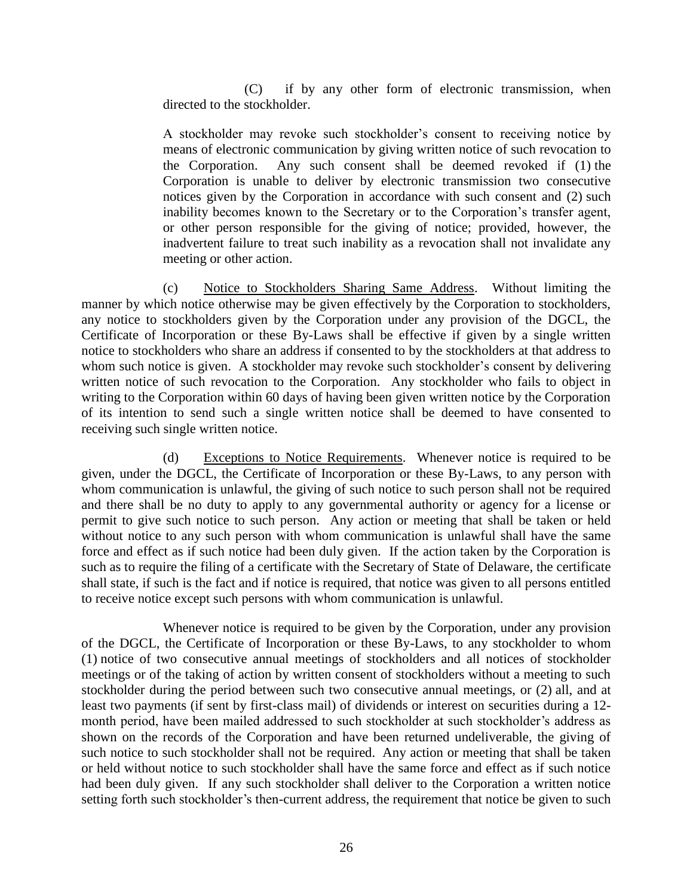(C) if by any other form of electronic transmission, when directed to the stockholder.

A stockholder may revoke such stockholder's consent to receiving notice by means of electronic communication by giving written notice of such revocation to the Corporation. Any such consent shall be deemed revoked if (1) the Corporation is unable to deliver by electronic transmission two consecutive notices given by the Corporation in accordance with such consent and (2) such inability becomes known to the Secretary or to the Corporation's transfer agent, or other person responsible for the giving of notice; provided, however, the inadvertent failure to treat such inability as a revocation shall not invalidate any meeting or other action.

(c) Notice to Stockholders Sharing Same Address. Without limiting the manner by which notice otherwise may be given effectively by the Corporation to stockholders, any notice to stockholders given by the Corporation under any provision of the DGCL, the Certificate of Incorporation or these By-Laws shall be effective if given by a single written notice to stockholders who share an address if consented to by the stockholders at that address to whom such notice is given. A stockholder may revoke such stockholder's consent by delivering written notice of such revocation to the Corporation. Any stockholder who fails to object in writing to the Corporation within 60 days of having been given written notice by the Corporation of its intention to send such a single written notice shall be deemed to have consented to receiving such single written notice.

(d) Exceptions to Notice Requirements. Whenever notice is required to be given, under the DGCL, the Certificate of Incorporation or these By-Laws, to any person with whom communication is unlawful, the giving of such notice to such person shall not be required and there shall be no duty to apply to any governmental authority or agency for a license or permit to give such notice to such person. Any action or meeting that shall be taken or held without notice to any such person with whom communication is unlawful shall have the same force and effect as if such notice had been duly given. If the action taken by the Corporation is such as to require the filing of a certificate with the Secretary of State of Delaware, the certificate shall state, if such is the fact and if notice is required, that notice was given to all persons entitled to receive notice except such persons with whom communication is unlawful.

Whenever notice is required to be given by the Corporation, under any provision of the DGCL, the Certificate of Incorporation or these By-Laws, to any stockholder to whom (1) notice of two consecutive annual meetings of stockholders and all notices of stockholder meetings or of the taking of action by written consent of stockholders without a meeting to such stockholder during the period between such two consecutive annual meetings, or (2) all, and at least two payments (if sent by first-class mail) of dividends or interest on securities during a 12 month period, have been mailed addressed to such stockholder at such stockholder's address as shown on the records of the Corporation and have been returned undeliverable, the giving of such notice to such stockholder shall not be required. Any action or meeting that shall be taken or held without notice to such stockholder shall have the same force and effect as if such notice had been duly given. If any such stockholder shall deliver to the Corporation a written notice setting forth such stockholder's then-current address, the requirement that notice be given to such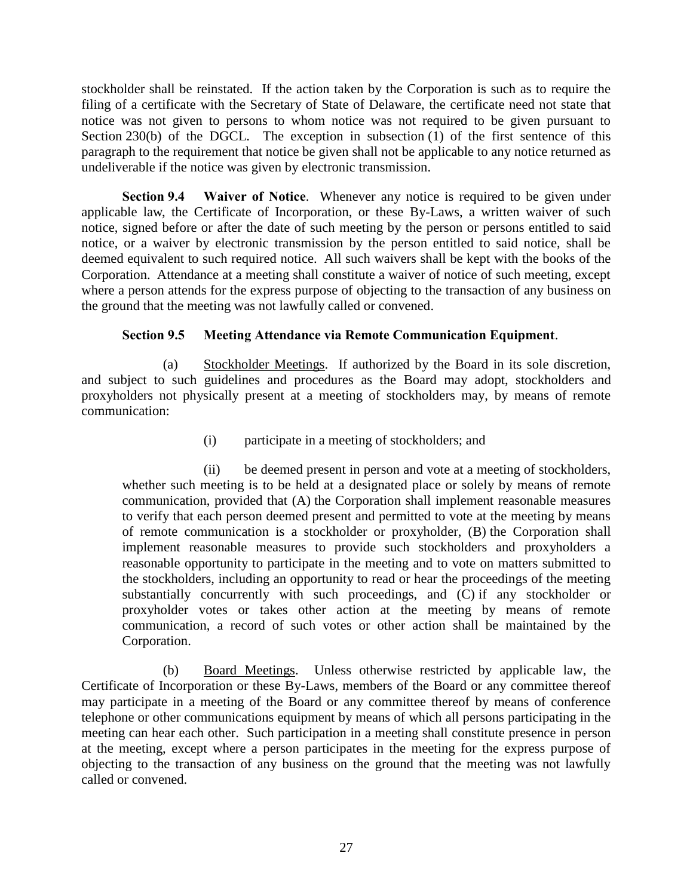stockholder shall be reinstated. If the action taken by the Corporation is such as to require the filing of a certificate with the Secretary of State of Delaware, the certificate need not state that notice was not given to persons to whom notice was not required to be given pursuant to Section 230(b) of the DGCL. The exception in subsection (1) of the first sentence of this paragraph to the requirement that notice be given shall not be applicable to any notice returned as undeliverable if the notice was given by electronic transmission.

**Section 9.4 Waiver of Notice**. Whenever any notice is required to be given under applicable law, the Certificate of Incorporation, or these By-Laws, a written waiver of such notice, signed before or after the date of such meeting by the person or persons entitled to said notice, or a waiver by electronic transmission by the person entitled to said notice, shall be deemed equivalent to such required notice. All such waivers shall be kept with the books of the Corporation. Attendance at a meeting shall constitute a waiver of notice of such meeting, except where a person attends for the express purpose of objecting to the transaction of any business on the ground that the meeting was not lawfully called or convened.

## **Section 9.5 Meeting Attendance via Remote Communication Equipment**.

(a) Stockholder Meetings. If authorized by the Board in its sole discretion, and subject to such guidelines and procedures as the Board may adopt, stockholders and proxyholders not physically present at a meeting of stockholders may, by means of remote communication:

(i) participate in a meeting of stockholders; and

(ii) be deemed present in person and vote at a meeting of stockholders, whether such meeting is to be held at a designated place or solely by means of remote communication, provided that (A) the Corporation shall implement reasonable measures to verify that each person deemed present and permitted to vote at the meeting by means of remote communication is a stockholder or proxyholder, (B) the Corporation shall implement reasonable measures to provide such stockholders and proxyholders a reasonable opportunity to participate in the meeting and to vote on matters submitted to the stockholders, including an opportunity to read or hear the proceedings of the meeting substantially concurrently with such proceedings, and (C) if any stockholder or proxyholder votes or takes other action at the meeting by means of remote communication, a record of such votes or other action shall be maintained by the Corporation.

(b) Board Meetings. Unless otherwise restricted by applicable law, the Certificate of Incorporation or these By-Laws, members of the Board or any committee thereof may participate in a meeting of the Board or any committee thereof by means of conference telephone or other communications equipment by means of which all persons participating in the meeting can hear each other. Such participation in a meeting shall constitute presence in person at the meeting, except where a person participates in the meeting for the express purpose of objecting to the transaction of any business on the ground that the meeting was not lawfully called or convened.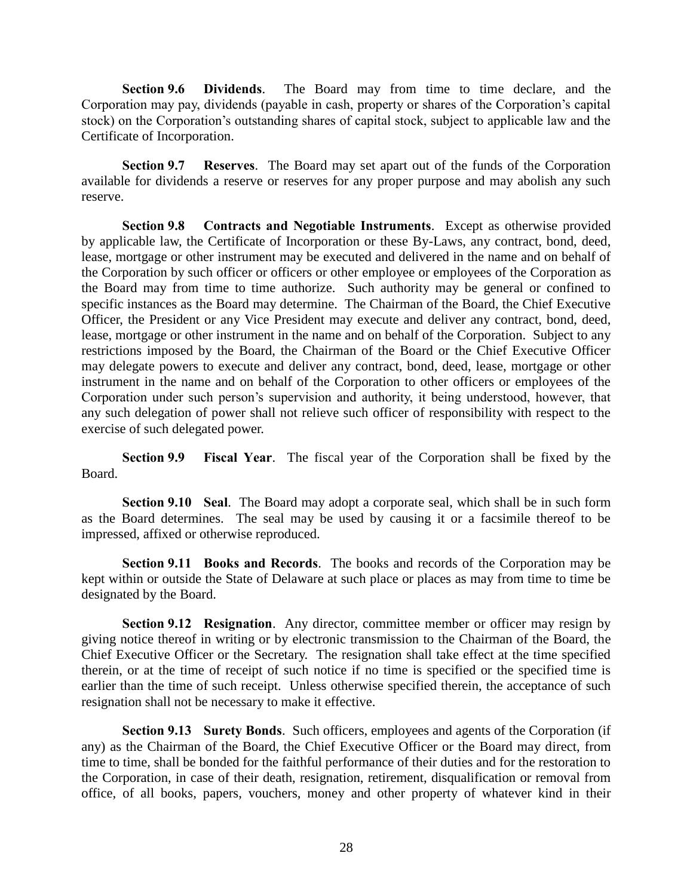**Section 9.6 Dividends**. The Board may from time to time declare, and the Corporation may pay, dividends (payable in cash, property or shares of the Corporation's capital stock) on the Corporation's outstanding shares of capital stock, subject to applicable law and the Certificate of Incorporation.

**Section 9.7 Reserves**. The Board may set apart out of the funds of the Corporation available for dividends a reserve or reserves for any proper purpose and may abolish any such reserve.

**Section 9.8 Contracts and Negotiable Instruments**. Except as otherwise provided by applicable law, the Certificate of Incorporation or these By-Laws, any contract, bond, deed, lease, mortgage or other instrument may be executed and delivered in the name and on behalf of the Corporation by such officer or officers or other employee or employees of the Corporation as the Board may from time to time authorize. Such authority may be general or confined to specific instances as the Board may determine. The Chairman of the Board, the Chief Executive Officer, the President or any Vice President may execute and deliver any contract, bond, deed, lease, mortgage or other instrument in the name and on behalf of the Corporation. Subject to any restrictions imposed by the Board, the Chairman of the Board or the Chief Executive Officer may delegate powers to execute and deliver any contract, bond, deed, lease, mortgage or other instrument in the name and on behalf of the Corporation to other officers or employees of the Corporation under such person's supervision and authority, it being understood, however, that any such delegation of power shall not relieve such officer of responsibility with respect to the exercise of such delegated power.

**Section 9.9 Fiscal Year**. The fiscal year of the Corporation shall be fixed by the Board.

**Section 9.10 Seal**. The Board may adopt a corporate seal, which shall be in such form as the Board determines. The seal may be used by causing it or a facsimile thereof to be impressed, affixed or otherwise reproduced.

**Section 9.11 Books and Records**. The books and records of the Corporation may be kept within or outside the State of Delaware at such place or places as may from time to time be designated by the Board.

**Section 9.12 Resignation.** Any director, committee member or officer may resign by giving notice thereof in writing or by electronic transmission to the Chairman of the Board, the Chief Executive Officer or the Secretary. The resignation shall take effect at the time specified therein, or at the time of receipt of such notice if no time is specified or the specified time is earlier than the time of such receipt. Unless otherwise specified therein, the acceptance of such resignation shall not be necessary to make it effective.

**Section 9.13 Surety Bonds**. Such officers, employees and agents of the Corporation (if any) as the Chairman of the Board, the Chief Executive Officer or the Board may direct, from time to time, shall be bonded for the faithful performance of their duties and for the restoration to the Corporation, in case of their death, resignation, retirement, disqualification or removal from office, of all books, papers, vouchers, money and other property of whatever kind in their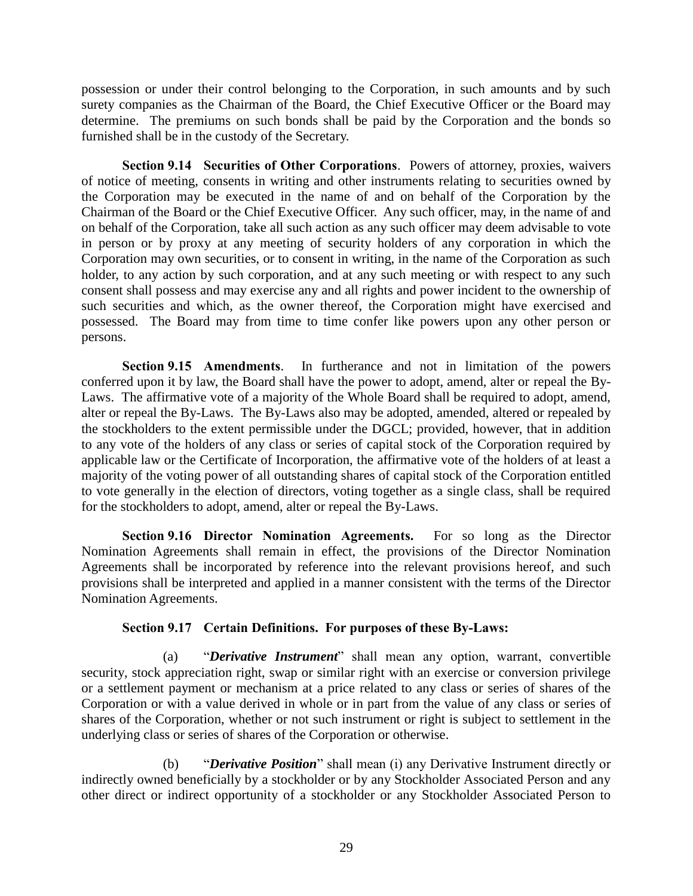possession or under their control belonging to the Corporation, in such amounts and by such surety companies as the Chairman of the Board, the Chief Executive Officer or the Board may determine. The premiums on such bonds shall be paid by the Corporation and the bonds so furnished shall be in the custody of the Secretary.

**Section 9.14 Securities of Other Corporations**. Powers of attorney, proxies, waivers of notice of meeting, consents in writing and other instruments relating to securities owned by the Corporation may be executed in the name of and on behalf of the Corporation by the Chairman of the Board or the Chief Executive Officer. Any such officer, may, in the name of and on behalf of the Corporation, take all such action as any such officer may deem advisable to vote in person or by proxy at any meeting of security holders of any corporation in which the Corporation may own securities, or to consent in writing, in the name of the Corporation as such holder, to any action by such corporation, and at any such meeting or with respect to any such consent shall possess and may exercise any and all rights and power incident to the ownership of such securities and which, as the owner thereof, the Corporation might have exercised and possessed. The Board may from time to time confer like powers upon any other person or persons.

**Section 9.15 Amendments**. In furtherance and not in limitation of the powers conferred upon it by law, the Board shall have the power to adopt, amend, alter or repeal the By-Laws. The affirmative vote of a majority of the Whole Board shall be required to adopt, amend, alter or repeal the By-Laws. The By-Laws also may be adopted, amended, altered or repealed by the stockholders to the extent permissible under the DGCL; provided, however, that in addition to any vote of the holders of any class or series of capital stock of the Corporation required by applicable law or the Certificate of Incorporation, the affirmative vote of the holders of at least a majority of the voting power of all outstanding shares of capital stock of the Corporation entitled to vote generally in the election of directors, voting together as a single class, shall be required for the stockholders to adopt, amend, alter or repeal the By-Laws.

**Section 9.16 Director Nomination Agreements.** For so long as the Director Nomination Agreements shall remain in effect, the provisions of the Director Nomination Agreements shall be incorporated by reference into the relevant provisions hereof, and such provisions shall be interpreted and applied in a manner consistent with the terms of the Director Nomination Agreements.

### **Section 9.17 Certain Definitions. For purposes of these By-Laws:**

(a) "*Derivative Instrument*" shall mean any option, warrant, convertible security, stock appreciation right, swap or similar right with an exercise or conversion privilege or a settlement payment or mechanism at a price related to any class or series of shares of the Corporation or with a value derived in whole or in part from the value of any class or series of shares of the Corporation, whether or not such instrument or right is subject to settlement in the underlying class or series of shares of the Corporation or otherwise.

(b) "*Derivative Position*" shall mean (i) any Derivative Instrument directly or indirectly owned beneficially by a stockholder or by any Stockholder Associated Person and any other direct or indirect opportunity of a stockholder or any Stockholder Associated Person to